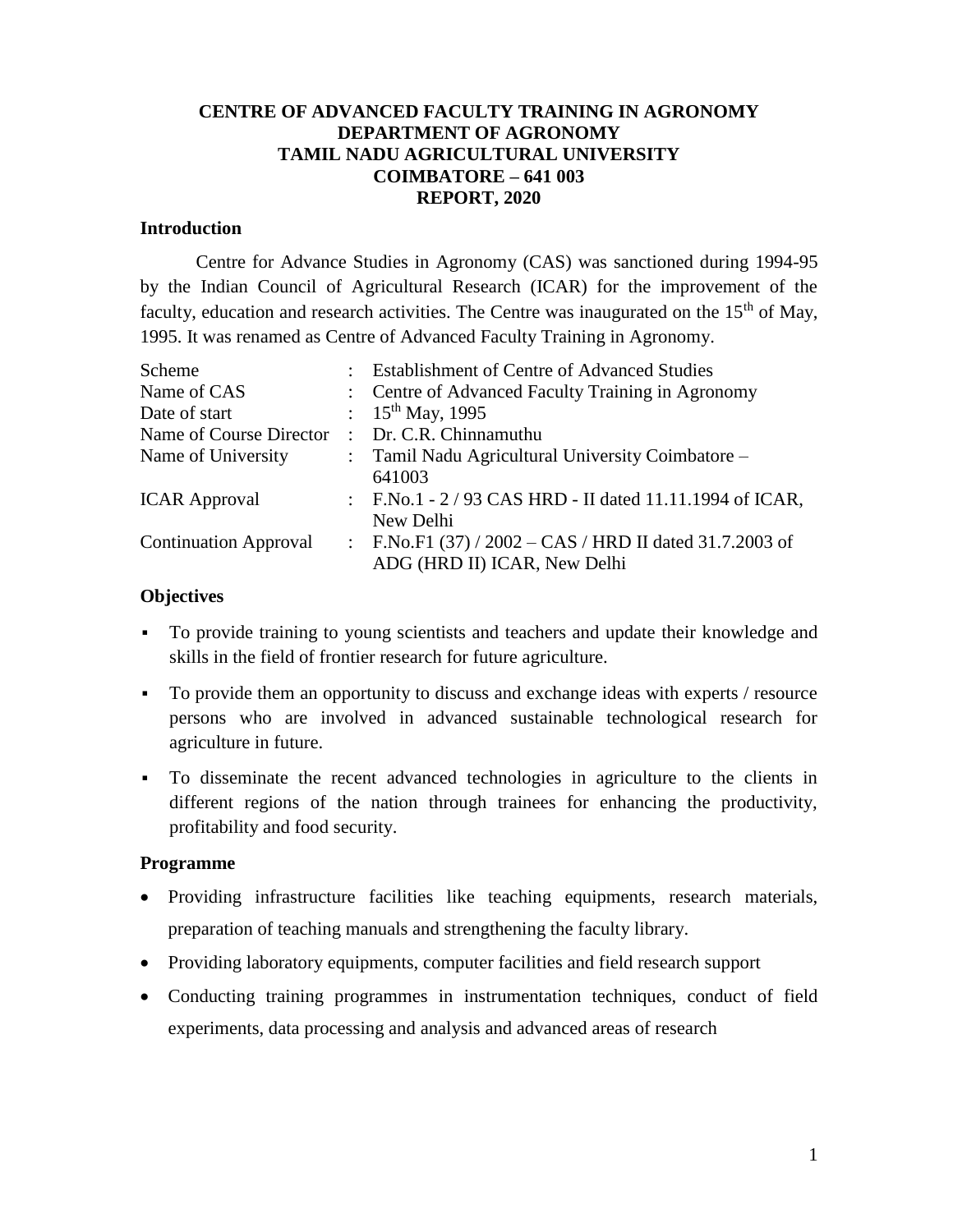### **CENTRE OF ADVANCED FACULTY TRAINING IN AGRONOMY DEPARTMENT OF AGRONOMY TAMIL NADU AGRICULTURAL UNIVERSITY COIMBATORE – 641 003 REPORT, 2020**

#### **Introduction**

Centre for Advance Studies in Agronomy (CAS) was sanctioned during 1994-95 by the Indian Council of Agricultural Research (ICAR) for the improvement of the faculty, education and research activities. The Centre was inaugurated on the  $15<sup>th</sup>$  of May, 1995. It was renamed as Centre of Advanced Faculty Training in Agronomy.

| Scheme                       | : Establishment of Centre of Advanced Studies             |
|------------------------------|-----------------------------------------------------------|
| Name of CAS                  | : Centre of Advanced Faculty Training in Agronomy         |
| Date of start                | : $15^{th}$ May, 1995                                     |
| Name of Course Director      | : Dr. C.R. Chinnamuthu                                    |
| Name of University           | : Tamil Nadu Agricultural University Coimbatore –         |
|                              | 641003                                                    |
| <b>ICAR Approval</b>         | : F.No.1 - $2/93$ CAS HRD - II dated 11.11.1994 of ICAR,  |
|                              | New Delhi                                                 |
| <b>Continuation Approval</b> | : F.No.F1 $(37) / 2002 - CAS / HRD$ II dated 31.7.2003 of |
|                              | ADG (HRD II) ICAR, New Delhi                              |

#### **Objectives**

- To provide training to young scientists and teachers and update their knowledge and skills in the field of frontier research for future agriculture.
- To provide them an opportunity to discuss and exchange ideas with experts / resource persons who are involved in advanced sustainable technological research for agriculture in future.
- To disseminate the recent advanced technologies in agriculture to the clients in different regions of the nation through trainees for enhancing the productivity, profitability and food security.

### **Programme**

- Providing infrastructure facilities like teaching equipments, research materials, preparation of teaching manuals and strengthening the faculty library.
- Providing laboratory equipments, computer facilities and field research support
- Conducting training programmes in instrumentation techniques, conduct of field experiments, data processing and analysis and advanced areas of research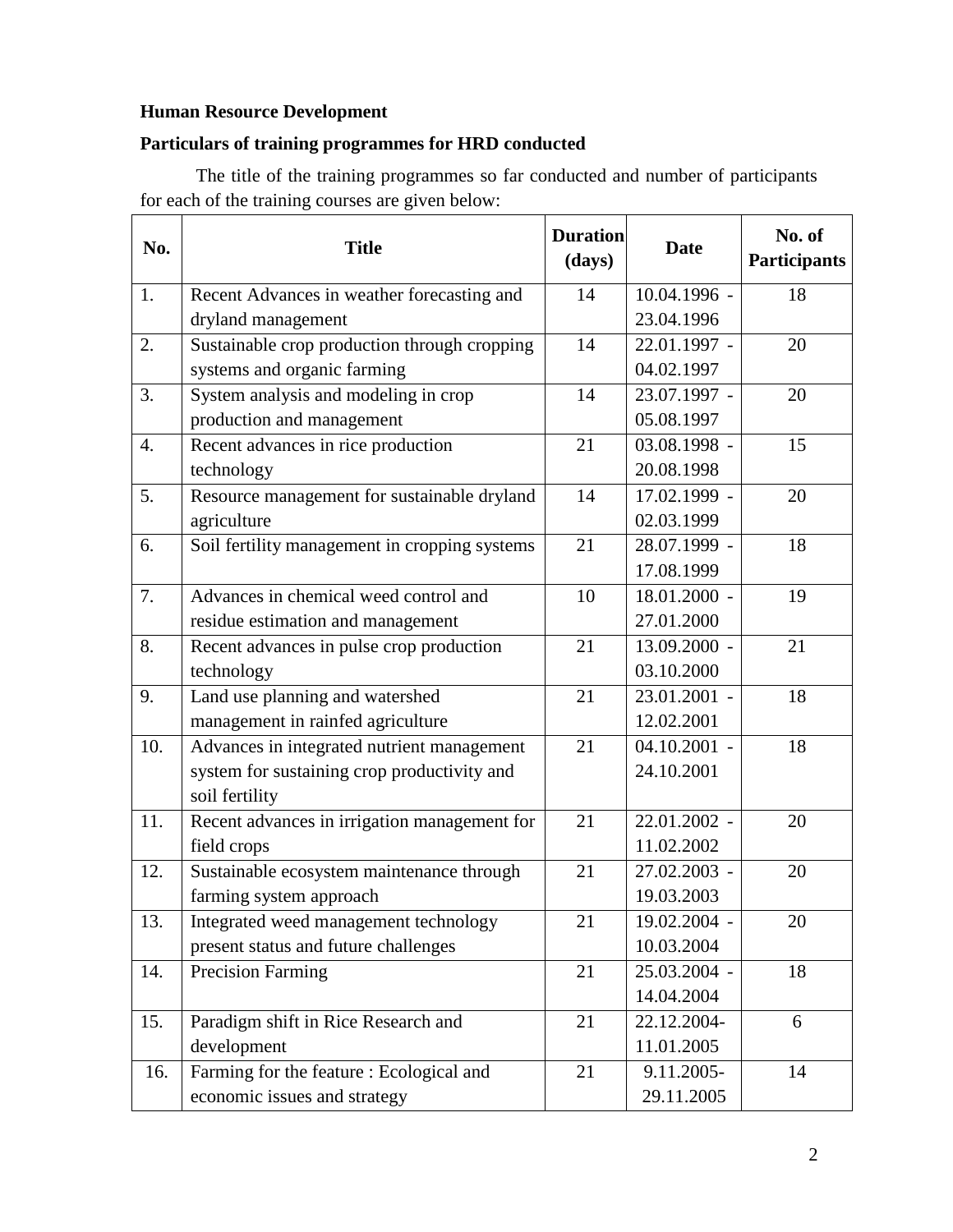# **Human Resource Development**

## **Particulars of training programmes for HRD conducted**

The title of the training programmes so far conducted and number of participants for each of the training courses are given below:

| No.              | <b>Title</b>                                  | <b>Duration</b><br>(days) | <b>Date</b>  | No. of<br><b>Participants</b> |
|------------------|-----------------------------------------------|---------------------------|--------------|-------------------------------|
| 1.               | Recent Advances in weather forecasting and    | 14                        | 10.04.1996 - | 18                            |
|                  | dryland management                            |                           | 23.04.1996   |                               |
| 2.               | Sustainable crop production through cropping  | 14                        | 22.01.1997 - | 20                            |
|                  | systems and organic farming                   |                           | 04.02.1997   |                               |
| 3.               | System analysis and modeling in crop          | 14                        | 23.07.1997 - | 20                            |
|                  | production and management                     |                           | 05.08.1997   |                               |
| $\overline{4}$ . | Recent advances in rice production            | 21                        | 03.08.1998 - | 15                            |
|                  | technology                                    |                           | 20.08.1998   |                               |
| 5.               | Resource management for sustainable dryland   | 14                        | 17.02.1999 - | 20                            |
|                  | agriculture                                   |                           | 02.03.1999   |                               |
| 6.               | Soil fertility management in cropping systems | 21                        | 28.07.1999 - | 18                            |
|                  |                                               |                           | 17.08.1999   |                               |
| 7.               | Advances in chemical weed control and         | 10                        | 18.01.2000 - | 19                            |
|                  | residue estimation and management             |                           | 27.01.2000   |                               |
| 8.               | Recent advances in pulse crop production      | 21                        | 13.09.2000 - | 21                            |
|                  | technology                                    |                           | 03.10.2000   |                               |
| 9.               | Land use planning and watershed               | 21                        | 23.01.2001 - | 18                            |
|                  | management in rainfed agriculture             |                           | 12.02.2001   |                               |
| 10.              | Advances in integrated nutrient management    | 21                        | 04.10.2001 - | 18                            |
|                  | system for sustaining crop productivity and   |                           | 24.10.2001   |                               |
|                  | soil fertility                                |                           |              |                               |
| 11.              | Recent advances in irrigation management for  | 21                        | 22.01.2002 - | 20                            |
|                  | field crops                                   |                           | 11.02.2002   |                               |
| 12.              | Sustainable ecosystem maintenance through     | 21                        | 27.02.2003 - | 20                            |
|                  | farming system approach                       |                           | 19.03.2003   |                               |
| 13.              | Integrated weed management technology         | 21                        | 19.02.2004 - | 20                            |
|                  | present status and future challenges          |                           | 10.03.2004   |                               |
| 14.              | <b>Precision Farming</b>                      | 21                        | 25.03.2004 - | 18                            |
|                  |                                               |                           | 14.04.2004   |                               |
| 15.              | Paradigm shift in Rice Research and           | 21                        | 22.12.2004-  | 6                             |
|                  | development                                   |                           | 11.01.2005   |                               |
| 16.              | Farming for the feature : Ecological and      | 21                        | 9.11.2005-   | 14                            |
|                  | economic issues and strategy                  |                           | 29.11.2005   |                               |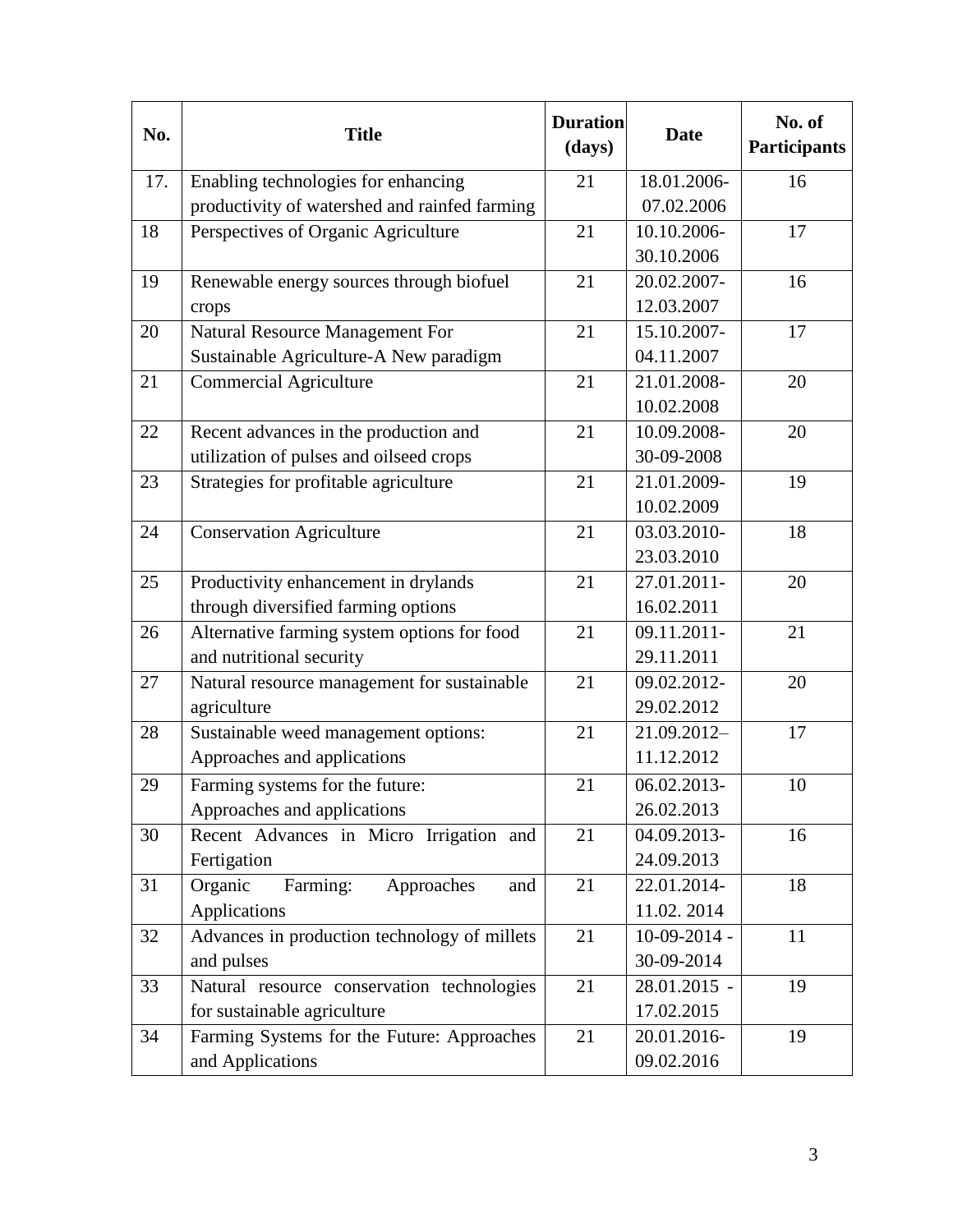| No. | <b>Title</b>                                  | <b>Duration</b><br>(days) | <b>Date</b>    | No. of<br><b>Participants</b> |
|-----|-----------------------------------------------|---------------------------|----------------|-------------------------------|
| 17. | Enabling technologies for enhancing           | 21                        | 18.01.2006-    | 16                            |
|     | productivity of watershed and rainfed farming |                           | 07.02.2006     |                               |
| 18  | Perspectives of Organic Agriculture           | 21                        | 10.10.2006-    | 17                            |
|     |                                               |                           | 30.10.2006     |                               |
| 19  | Renewable energy sources through biofuel      | 21                        | 20.02.2007-    | 16                            |
|     | crops                                         |                           | 12.03.2007     |                               |
| 20  | Natural Resource Management For               | 21                        | 15.10.2007-    | 17                            |
|     | Sustainable Agriculture-A New paradigm        |                           | 04.11.2007     |                               |
| 21  | <b>Commercial Agriculture</b>                 | 21                        | 21.01.2008-    | 20                            |
|     |                                               |                           | 10.02.2008     |                               |
| 22  | Recent advances in the production and         | 21                        | 10.09.2008-    | 20                            |
|     | utilization of pulses and oilseed crops       |                           | 30-09-2008     |                               |
| 23  | Strategies for profitable agriculture         | 21                        | 21.01.2009-    | 19                            |
|     |                                               |                           | 10.02.2009     |                               |
| 24  | <b>Conservation Agriculture</b>               | 21                        | 03.03.2010-    | 18                            |
|     |                                               |                           | 23.03.2010     |                               |
| 25  | Productivity enhancement in drylands          | 21                        | 27.01.2011-    | 20                            |
|     | through diversified farming options           |                           | 16.02.2011     |                               |
| 26  | Alternative farming system options for food   | 21                        | 09.11.2011-    | 21                            |
|     | and nutritional security                      |                           | 29.11.2011     |                               |
| 27  | Natural resource management for sustainable   | 21                        | 09.02.2012-    | 20                            |
|     | agriculture                                   |                           | 29.02.2012     |                               |
| 28  | Sustainable weed management options:          | 21                        | 21.09.2012-    | 17                            |
|     | Approaches and applications                   |                           | 11.12.2012     |                               |
| 29  | Farming systems for the future:               | 21                        | 06.02.2013-    | 10                            |
|     | Approaches and applications                   |                           | 26.02.2013     |                               |
| 30  | Recent Advances in Micro Irrigation and       | 21                        | 04.09.2013-    | 16                            |
|     | Fertigation                                   |                           | 24.09.2013     |                               |
| 31  | Organic<br>Farming:<br>Approaches<br>and      | 21                        | 22.01.2014-    | 18                            |
|     | Applications                                  |                           | 11.02.2014     |                               |
| 32  | Advances in production technology of millets  | 21                        | $10-09-2014$ - | 11                            |
|     | and pulses                                    |                           | 30-09-2014     |                               |
| 33  | Natural resource conservation technologies    | 21                        | 28.01.2015 -   | 19                            |
|     | for sustainable agriculture                   |                           | 17.02.2015     |                               |
| 34  | Farming Systems for the Future: Approaches    | 21                        | 20.01.2016-    | 19                            |
|     | and Applications                              |                           | 09.02.2016     |                               |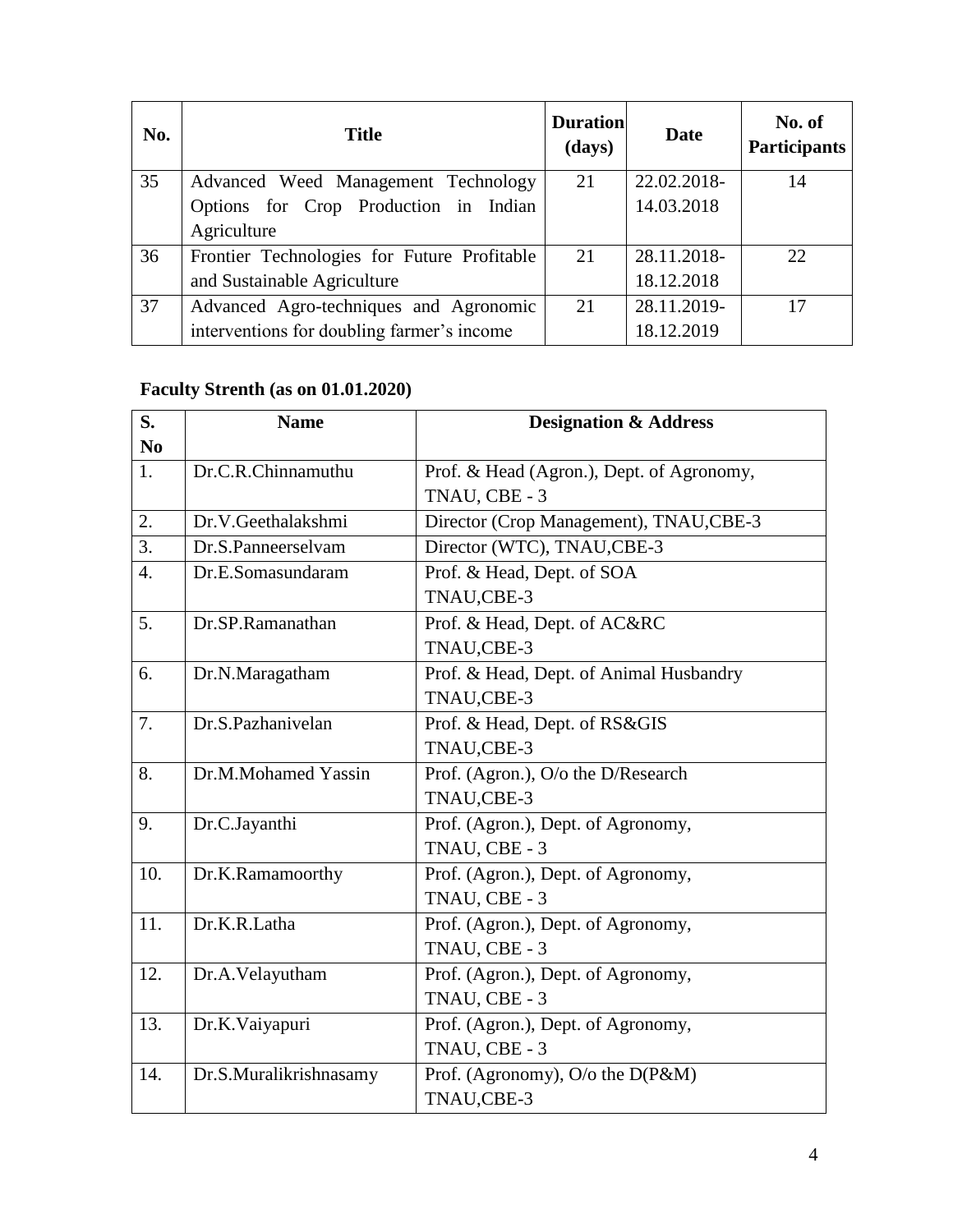| No. | <b>Title</b>                                | <b>Duration</b><br>(days) | Date        | No. of<br><b>Participants</b> |
|-----|---------------------------------------------|---------------------------|-------------|-------------------------------|
| 35  | Advanced Weed Management Technology         | 21                        | 22.02.2018- | 14                            |
|     | Options for Crop Production in Indian       |                           | 14.03.2018  |                               |
|     | Agriculture                                 |                           |             |                               |
| 36  | Frontier Technologies for Future Profitable | 21                        | 28.11.2018- | 22                            |
|     | and Sustainable Agriculture                 |                           | 18.12.2018  |                               |
| 37  | Advanced Agro-techniques and Agronomic      | 21                        | 28.11.2019- | 17                            |
|     | interventions for doubling farmer's income  |                           | 18.12.2019  |                               |

# **Faculty Strenth (as on 01.01.2020)**

| S.               | <b>Name</b>            | <b>Designation &amp; Address</b>          |
|------------------|------------------------|-------------------------------------------|
| N <sub>0</sub>   |                        |                                           |
| 1.               | Dr.C.R.Chinnamuthu     | Prof. & Head (Agron.), Dept. of Agronomy, |
|                  |                        | TNAU, CBE - 3                             |
| 2.               | Dr.V.Geethalakshmi     | Director (Crop Management), TNAU,CBE-3    |
| 3.               | Dr.S.Panneerselvam     | Director (WTC), TNAU, CBE-3               |
| $\overline{4}$ . | Dr.E.Somasundaram      | Prof. & Head, Dept. of SOA                |
|                  |                        | TNAU,CBE-3                                |
| 5.               | Dr.SP.Ramanathan       | Prof. & Head, Dept. of AC&RC              |
|                  |                        | TNAU,CBE-3                                |
| 6.               | Dr.N.Maragatham        | Prof. & Head, Dept. of Animal Husbandry   |
|                  |                        | TNAU,CBE-3                                |
| 7.               | Dr.S.Pazhanivelan      | Prof. & Head, Dept. of RS&GIS             |
|                  |                        | TNAU,CBE-3                                |
| 8.               | Dr.M.Mohamed Yassin    | Prof. (Agron.), O/o the D/Research        |
|                  |                        | TNAU,CBE-3                                |
| 9.               | Dr.C.Jayanthi          | Prof. (Agron.), Dept. of Agronomy,        |
|                  |                        | TNAU, CBE - 3                             |
| 10.              | Dr.K.Ramamoorthy       | Prof. (Agron.), Dept. of Agronomy,        |
|                  |                        | TNAU, CBE - 3                             |
| 11.              | Dr.K.R.Latha           | Prof. (Agron.), Dept. of Agronomy,        |
|                  |                        | TNAU, CBE - 3                             |
| 12.              | Dr.A.Velayutham        | Prof. (Agron.), Dept. of Agronomy,        |
|                  |                        | TNAU, CBE - 3                             |
| 13.              | Dr.K.Vaiyapuri         | Prof. (Agron.), Dept. of Agronomy,        |
|                  |                        | TNAU, CBE - 3                             |
| 14.              | Dr.S.Muralikrishnasamy | Prof. (Agronomy), $O/O$ the $D(P\&M)$     |
|                  |                        | TNAU,CBE-3                                |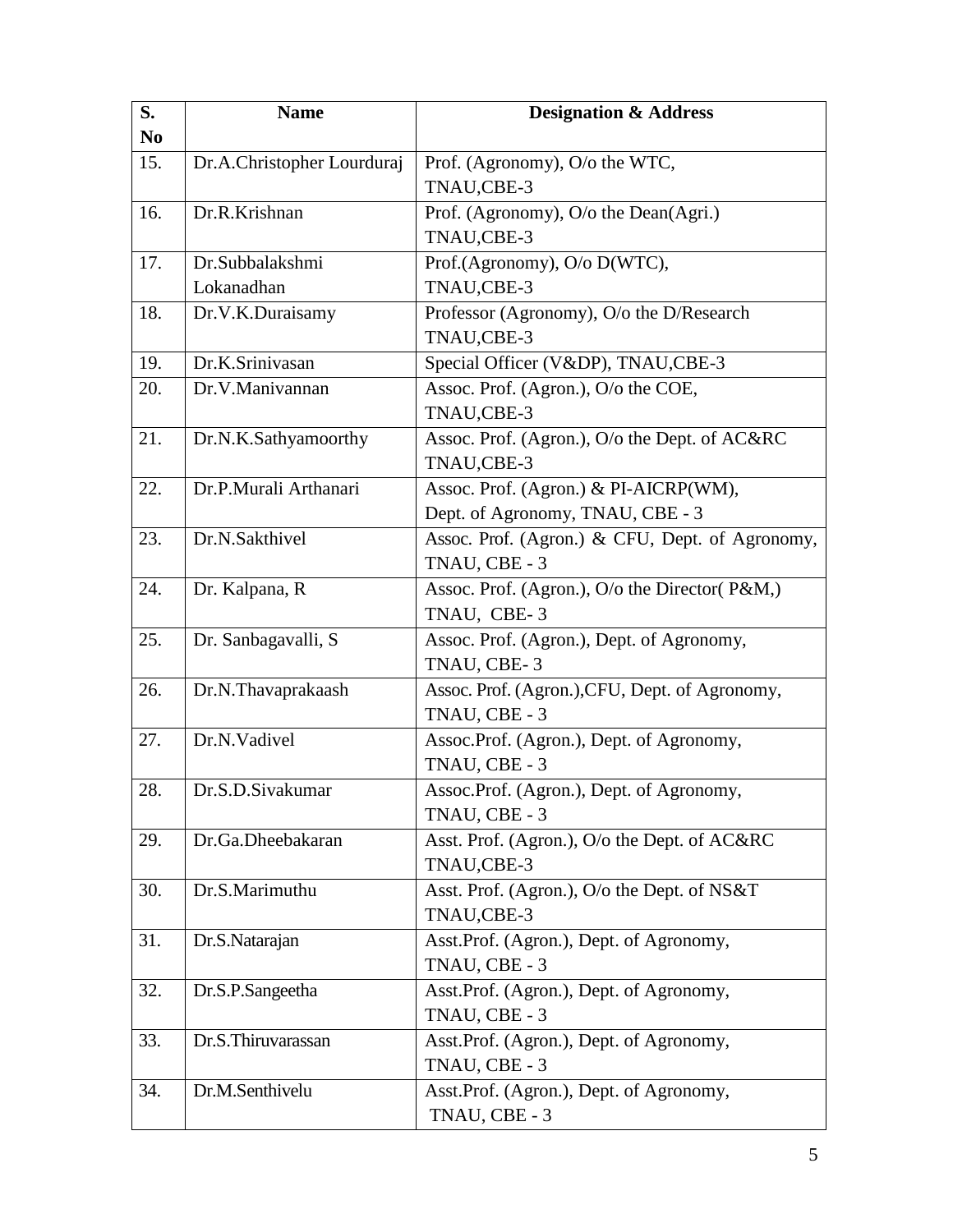| S.<br>N <sub>0</sub> | <b>Name</b>                | <b>Designation &amp; Address</b>                |
|----------------------|----------------------------|-------------------------------------------------|
| 15.                  | Dr.A.Christopher Lourduraj | Prof. (Agronomy), O/o the WTC,                  |
|                      |                            | TNAU,CBE-3                                      |
| 16.                  | Dr.R.Krishnan              | Prof. (Agronomy), O/o the Dean(Agri.)           |
|                      |                            | TNAU,CBE-3                                      |
| 17.                  | Dr.Subbalakshmi            | Prof.(Agronomy), O/o D(WTC),                    |
|                      | Lokanadhan                 | TNAU,CBE-3                                      |
| 18.                  | Dr.V.K.Duraisamy           | Professor (Agronomy), O/o the D/Research        |
|                      |                            | TNAU,CBE-3                                      |
| 19.                  | Dr.K.Srinivasan            | Special Officer (V&DP), TNAU,CBE-3              |
| 20.                  | Dr.V.Manivannan            | Assoc. Prof. (Agron.), O/o the COE,             |
|                      |                            | TNAU,CBE-3                                      |
| 21.                  | Dr.N.K.Sathyamoorthy       | Assoc. Prof. (Agron.), O/o the Dept. of AC&RC   |
|                      |                            | TNAU,CBE-3                                      |
| 22.                  | Dr.P.Murali Arthanari      | Assoc. Prof. (Agron.) & PI-AICRP(WM),           |
|                      |                            | Dept. of Agronomy, TNAU, CBE - 3                |
| 23.                  | Dr.N.Sakthivel             | Assoc. Prof. (Agron.) & CFU, Dept. of Agronomy, |
|                      |                            | TNAU, CBE - 3                                   |
| 24.                  | Dr. Kalpana, R             | Assoc. Prof. (Agron.), O/o the Director(P&M,)   |
|                      |                            | TNAU, CBE-3                                     |
| 25.                  | Dr. Sanbagavalli, S        | Assoc. Prof. (Agron.), Dept. of Agronomy,       |
|                      |                            | TNAU, CBE-3                                     |
| 26.                  | Dr.N.Thavaprakaash         | Assoc. Prof. (Agron.), CFU, Dept. of Agronomy,  |
|                      |                            | TNAU, CBE - 3                                   |
| 27.                  | Dr.N.Vadivel               | Assoc.Prof. (Agron.), Dept. of Agronomy,        |
|                      |                            | TNAU, CBE - 3                                   |
| 28.                  | Dr.S.D.Sivakumar           | Assoc.Prof. (Agron.), Dept. of Agronomy,        |
|                      |                            | TNAU, CBE - 3                                   |
| 29.                  | Dr.Ga.Dheebakaran          | Asst. Prof. (Agron.), O/o the Dept. of AC&RC    |
|                      |                            | TNAU,CBE-3                                      |
| 30.                  | Dr.S.Marimuthu             | Asst. Prof. (Agron.), O/o the Dept. of NS&T     |
|                      |                            | TNAU,CBE-3                                      |
| 31.                  | Dr.S.Natarajan             | Asst.Prof. (Agron.), Dept. of Agronomy,         |
|                      |                            | TNAU, CBE - 3                                   |
| 32.                  | Dr.S.P.Sangeetha           | Asst.Prof. (Agron.), Dept. of Agronomy,         |
|                      |                            | TNAU, CBE - 3                                   |
| 33.                  | Dr.S.Thiruvarassan         | Asst.Prof. (Agron.), Dept. of Agronomy,         |
|                      |                            | TNAU, CBE - 3                                   |
| 34.                  | Dr.M.Senthivelu            | Asst.Prof. (Agron.), Dept. of Agronomy,         |
|                      |                            | TNAU, CBE - 3                                   |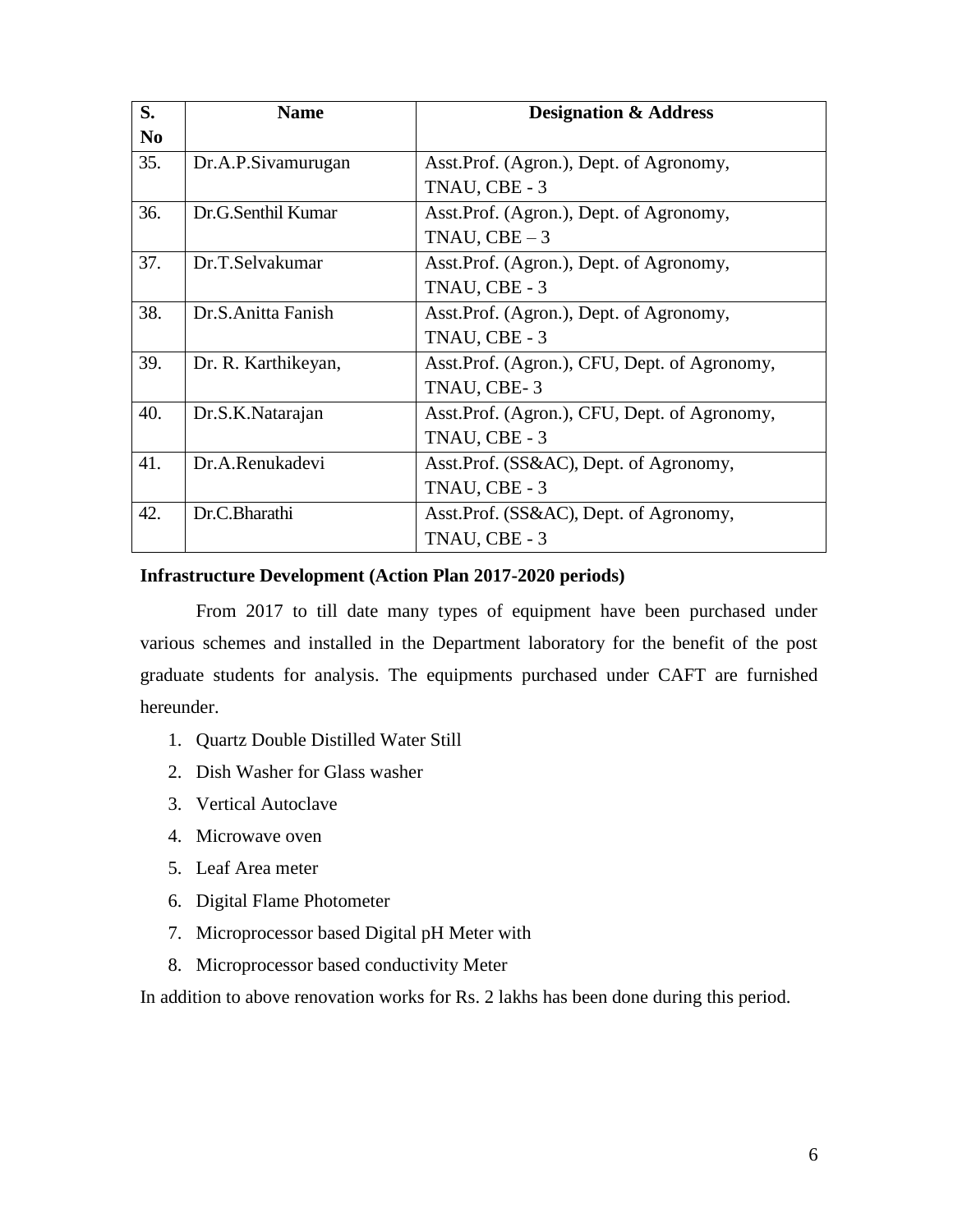| S.             | <b>Name</b>         | <b>Designation &amp; Address</b>             |
|----------------|---------------------|----------------------------------------------|
| N <sub>0</sub> |                     |                                              |
| 35.            | Dr.A.P.Sivamurugan  | Asst. Prof. (Agron.), Dept. of Agronomy,     |
|                |                     | TNAU, CBE - 3                                |
| 36.            | Dr.G.Senthil Kumar  | Asst. Prof. (Agron.), Dept. of Agronomy,     |
|                |                     | TNAU, $CBE-3$                                |
| 37.            | Dr.T.Selvakumar     | Asst. Prof. (Agron.), Dept. of Agronomy,     |
|                |                     | TNAU, CBE - 3                                |
| 38.            | Dr.S.Anitta Fanish  | Asst. Prof. (Agron.), Dept. of Agronomy,     |
|                |                     | TNAU, CBE - 3                                |
| 39.            | Dr. R. Karthikeyan, | Asst.Prof. (Agron.), CFU, Dept. of Agronomy, |
|                |                     | TNAU, CBE-3                                  |
| 40.            | Dr.S.K.Natarajan    | Asst.Prof. (Agron.), CFU, Dept. of Agronomy, |
|                |                     | TNAU, CBE - 3                                |
| 41.            | Dr.A.Renukadevi     | Asst.Prof. (SS&AC), Dept. of Agronomy,       |
|                |                     | TNAU, CBE - 3                                |
| 42.            | Dr.C.Bharathi       | Asst.Prof. (SS&AC), Dept. of Agronomy,       |
|                |                     | TNAU, CBE - 3                                |

### **Infrastructure Development (Action Plan 2017-2020 periods)**

From 2017 to till date many types of equipment have been purchased under various schemes and installed in the Department laboratory for the benefit of the post graduate students for analysis. The equipments purchased under CAFT are furnished hereunder.

- 1. Quartz Double Distilled Water Still
- 2. Dish Washer for Glass washer
- 3. Vertical Autoclave
- 4. Microwave oven
- 5. Leaf Area meter
- 6. Digital Flame Photometer
- 7. Microprocessor based Digital pH Meter with
- 8. Microprocessor based conductivity Meter

In addition to above renovation works for Rs. 2 lakhs has been done during this period.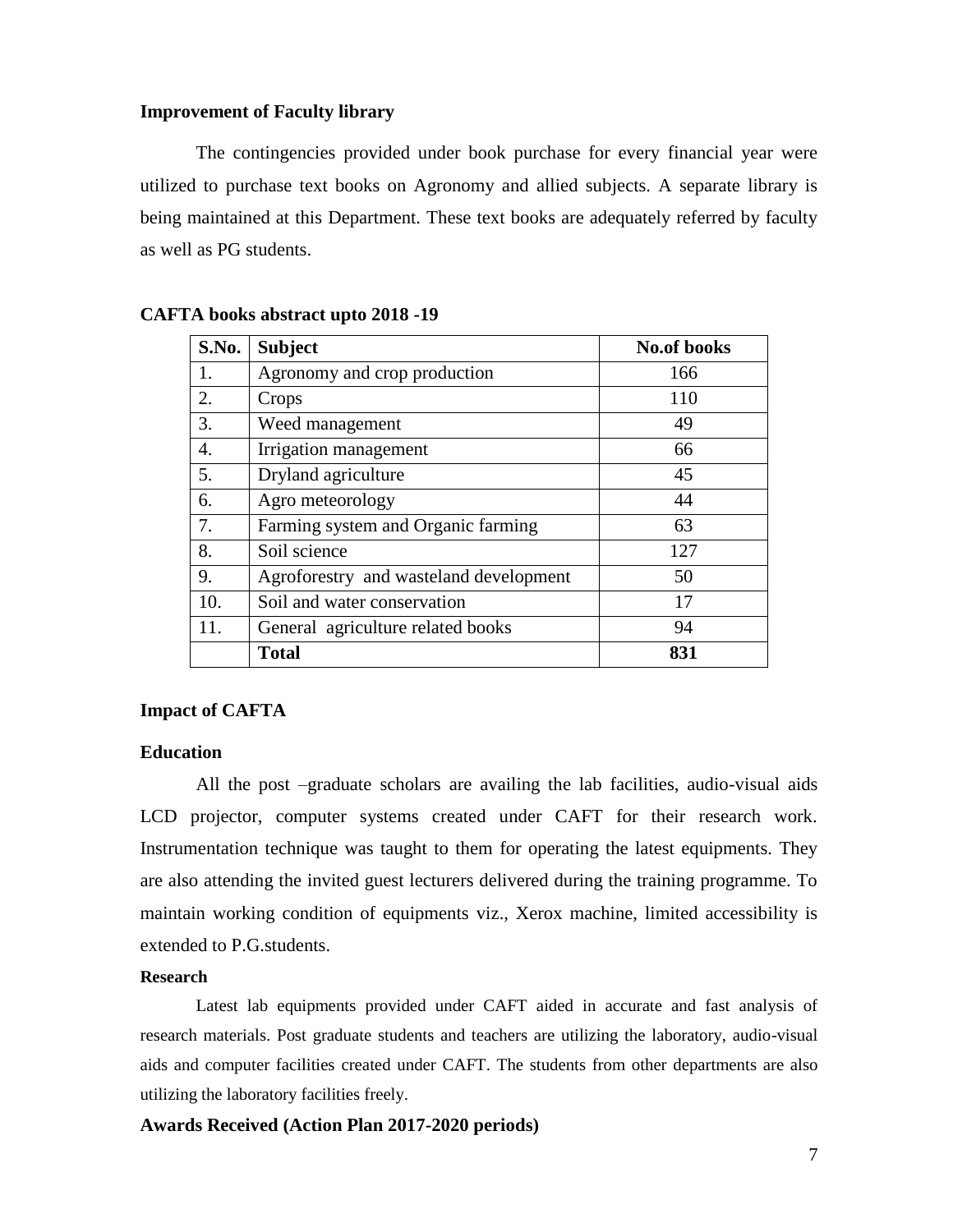#### **Improvement of Faculty library**

The contingencies provided under book purchase for every financial year were utilized to purchase text books on Agronomy and allied subjects. A separate library is being maintained at this Department. These text books are adequately referred by faculty as well as PG students.

| S.No. | <b>Subject</b>                         | <b>No.of books</b> |
|-------|----------------------------------------|--------------------|
| 1.    | Agronomy and crop production           | 166                |
| 2.    | Crops                                  | 110                |
| 3.    | Weed management                        | 49                 |
| 4.    | Irrigation management                  | 66                 |
| 5.    | Dryland agriculture                    | 45                 |
| 6.    | Agro meteorology                       | 44                 |
| 7.    | Farming system and Organic farming     | 63                 |
| 8.    | Soil science                           | 127                |
| 9.    | Agroforestry and wasteland development | 50                 |
| 10.   | Soil and water conservation            | 17                 |
| 11.   | General agriculture related books      | 94                 |
|       | <b>Total</b>                           | 831                |

#### **CAFTA books abstract upto 2018 -19**

#### **Impact of CAFTA**

#### **Education**

All the post –graduate scholars are availing the lab facilities, audio-visual aids LCD projector, computer systems created under CAFT for their research work. Instrumentation technique was taught to them for operating the latest equipments. They are also attending the invited guest lecturers delivered during the training programme. To maintain working condition of equipments viz., Xerox machine, limited accessibility is extended to P.G.students.

#### **Research**

Latest lab equipments provided under CAFT aided in accurate and fast analysis of research materials. Post graduate students and teachers are utilizing the laboratory, audio-visual aids and computer facilities created under CAFT. The students from other departments are also utilizing the laboratory facilities freely.

#### **Awards Received (Action Plan 2017-2020 periods)**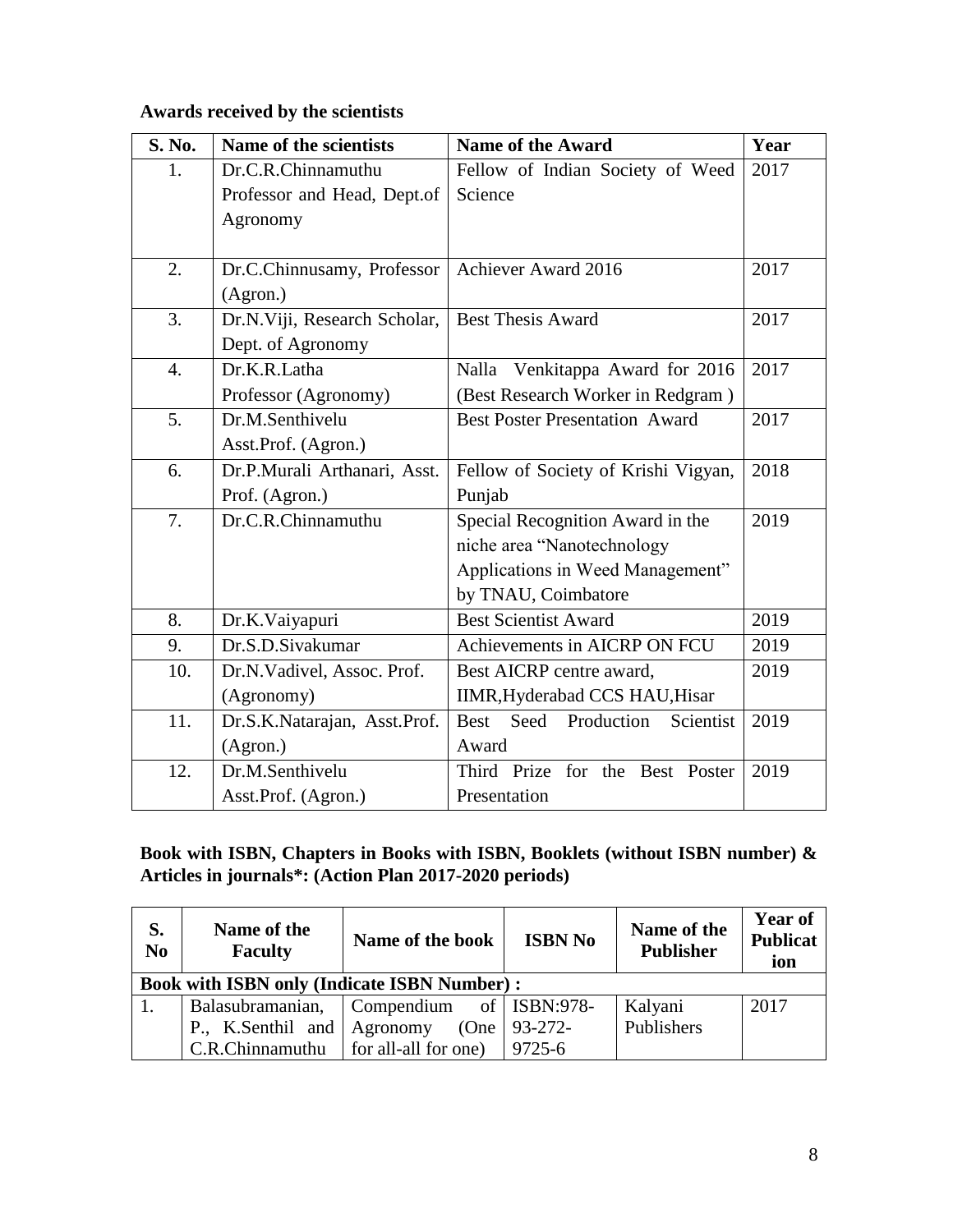# **Awards received by the scientists**

| <b>S. No.</b>    | Name of the scientists       | <b>Name of the Award</b>                       | Year |
|------------------|------------------------------|------------------------------------------------|------|
| 1.               | Dr.C.R.Chinnamuthu           | Fellow of Indian Society of Weed               | 2017 |
|                  | Professor and Head, Dept.of  | Science                                        |      |
|                  | Agronomy                     |                                                |      |
|                  |                              |                                                |      |
| 2.               | Dr.C.Chinnusamy, Professor   | Achiever Award 2016                            | 2017 |
|                  | (Agron.)                     |                                                |      |
| 3.               | Dr.N.Viji, Research Scholar, | <b>Best Thesis Award</b>                       | 2017 |
|                  | Dept. of Agronomy            |                                                |      |
| $\overline{4}$ . | Dr.K.R.Latha                 | Venkitappa Award for 2016<br>Nalla             | 2017 |
|                  | Professor (Agronomy)         | (Best Research Worker in Redgram)              |      |
| 5.               | Dr.M.Senthivelu              | <b>Best Poster Presentation Award</b>          | 2017 |
|                  | Asst.Prof. (Agron.)          |                                                |      |
| 6.               | Dr.P.Murali Arthanari, Asst. | Fellow of Society of Krishi Vigyan,            | 2018 |
|                  | Prof. (Agron.)               | Punjab                                         |      |
| 7.               | Dr.C.R.Chinnamuthu           | Special Recognition Award in the               | 2019 |
|                  |                              | niche area "Nanotechnology                     |      |
|                  |                              | Applications in Weed Management"               |      |
|                  |                              | by TNAU, Coimbatore                            |      |
| 8.               | Dr.K.Vaiyapuri               | <b>Best Scientist Award</b>                    | 2019 |
| 9.               | Dr.S.D.Sivakumar             | Achievements in AICRP ON FCU                   | 2019 |
| 10.              | Dr.N.Vadivel, Assoc. Prof.   | Best AICRP centre award,                       | 2019 |
|                  | (Agronomy)                   | IIMR, Hyderabad CCS HAU, Hisar                 |      |
| 11.              | Dr.S.K.Natarajan, Asst.Prof. | Production<br><b>Best</b><br>Seed<br>Scientist | 2019 |
|                  | (Agron.)                     | Award                                          |      |
| 12.              | Dr.M.Senthivelu              | Third Prize for the Best Poster                | 2019 |
|                  | Asst.Prof. (Agron.)          | Presentation                                   |      |

### **Book with ISBN, Chapters in Books with ISBN, Booklets (without ISBN number) & Articles in journals\*: (Action Plan 2017-2020 periods)**

| S.<br>N <sub>0</sub> | Name of the<br><b>Faculty</b>                      | Name of the book        | <b>ISBN No</b> | Name of the<br><b>Publisher</b> | <b>Year of</b><br><b>Publicat</b><br>ion |  |
|----------------------|----------------------------------------------------|-------------------------|----------------|---------------------------------|------------------------------------------|--|
|                      | <b>Book with ISBN only (Indicate ISBN Number):</b> |                         |                |                                 |                                          |  |
|                      | Balasubramanian,                                   | Compendium of ISBN:978- |                | Kalyani                         | 2017                                     |  |
|                      | P., K.Senthil and Agronomy                         | (One                    | $93 - 272$     | Publishers                      |                                          |  |
|                      | $C.R.C$ hinnamuthu   for all-all for one)          |                         | 9725-6         |                                 |                                          |  |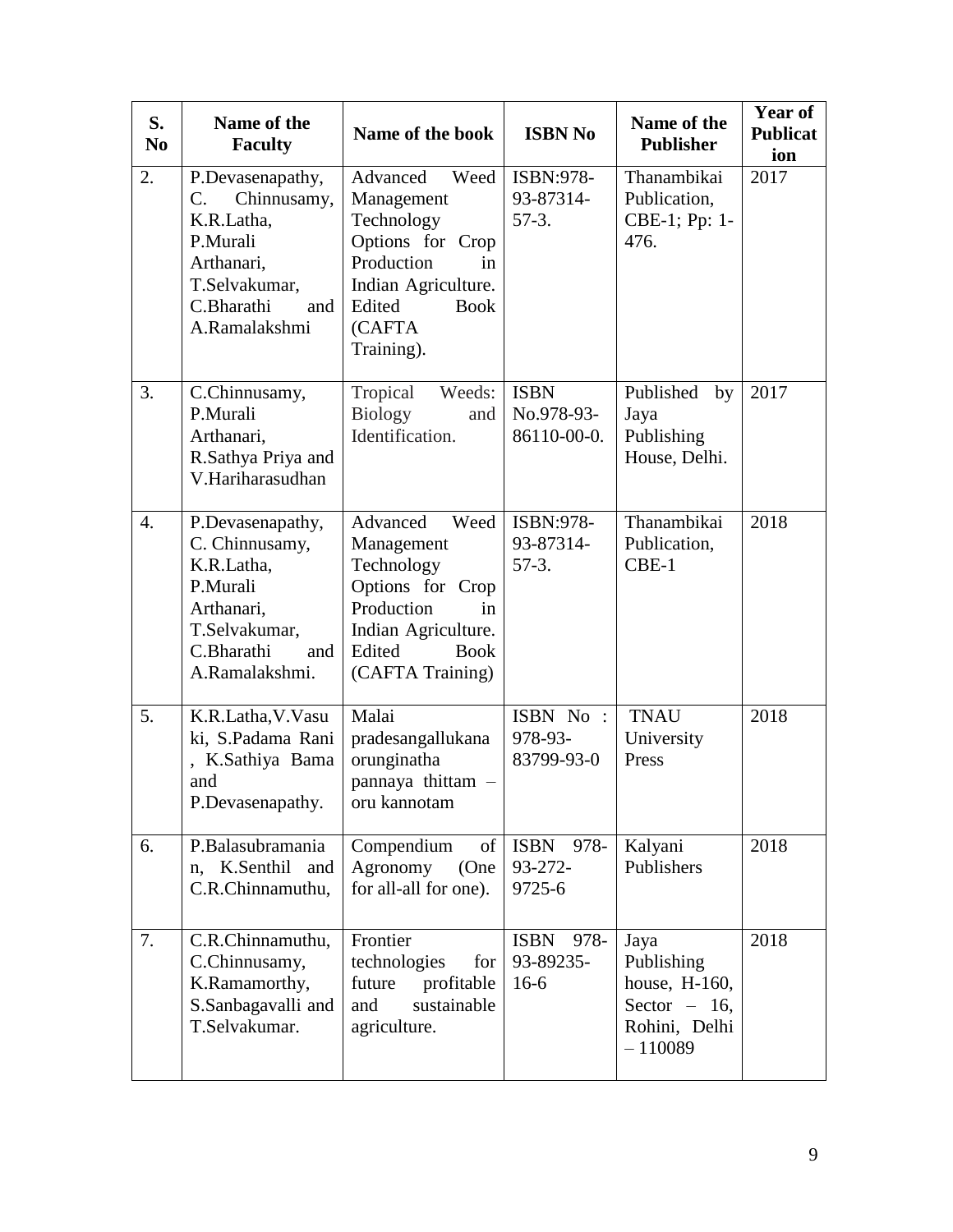| S.<br>N <sub>0</sub> | Name of the<br><b>Faculty</b>                                                                                                                 | Name of the book                                                                                                                                             | <b>ISBN No</b>                             | Name of the<br><b>Publisher</b>                                                     | <b>Year of</b><br><b>Publicat</b><br>ion |
|----------------------|-----------------------------------------------------------------------------------------------------------------------------------------------|--------------------------------------------------------------------------------------------------------------------------------------------------------------|--------------------------------------------|-------------------------------------------------------------------------------------|------------------------------------------|
| 2.                   | P.Devasenapathy,<br>$C_{\cdot}$<br>Chinnusamy,<br>K.R.Latha,<br>P.Murali<br>Arthanari,<br>T.Selvakumar,<br>C.Bharathi<br>and<br>A.Ramalakshmi | Advanced<br>Weed<br>Management<br>Technology<br>Options for Crop<br>Production<br>in<br>Indian Agriculture.<br>Edited<br><b>Book</b><br>(CAFTA<br>Training). | ISBN:978-<br>93-87314-<br>$57-3.$          | Thanambikai<br>Publication,<br>CBE-1; Pp: 1-<br>476.                                | 2017                                     |
| 3.                   | C.Chinnusamy,<br>P.Murali<br>Arthanari,<br>R.Sathya Priya and<br>V.Hariharasudhan                                                             | Tropical<br>Weeds:<br>Biology<br>and<br>Identification.                                                                                                      | <b>ISBN</b><br>No.978-93-<br>86110-00-0.   | Published<br>by<br>Jaya<br>Publishing<br>House, Delhi.                              | 2017                                     |
| $\overline{4}$ .     | P.Devasenapathy,<br>C. Chinnusamy,<br>K.R.Latha,<br>P.Murali<br>Arthanari,<br>T.Selvakumar,<br>C.Bharathi<br>and<br>A.Ramalakshmi.            | Advanced<br>Weed<br>Management<br>Technology<br>Options for Crop<br>Production<br>in<br>Indian Agriculture.<br>Edited<br><b>Book</b><br>(CAFTA Training)     | ISBN:978-<br>93-87314-<br>$57-3.$          | Thanambikai<br>Publication,<br>$CBE-1$                                              | 2018                                     |
| 5.                   | K.R.Latha, V.Vasu<br>ki, S.Padama Rani<br>, K.Sathiya Bama<br>and<br>P.Devasenapathy.                                                         | Malai<br>pradesangallukana<br>orunginatha<br>pannaya thittam -<br>oru kannotam                                                                               | ISBN No :<br>978-93-<br>83799-93-0         | <b>TNAU</b><br>University<br>Press                                                  | 2018                                     |
| 6.                   | P.Balasubramania<br>n, K.Senthil<br>and<br>C.R.Chinnamuthu,                                                                                   | Compendium<br>of<br>Agronomy<br>(One<br>for all-all for one).                                                                                                | ISBN 978-<br>93-272-<br>9725-6             | Kalyani<br>Publishers                                                               | 2018                                     |
| 7.                   | C.R.Chinnamuthu,<br>C.Chinnusamy,<br>K.Ramamorthy,<br>S.Sanbagavalli and<br>T.Selvakumar.                                                     | Frontier<br>technologies<br>for<br>future<br>profitable<br>sustainable<br>and<br>agriculture.                                                                | <b>ISBN</b><br>978-<br>93-89235-<br>$16-6$ | Jaya<br>Publishing<br>house, H-160,<br>Sector $-16$ ,<br>Rohini, Delhi<br>$-110089$ | 2018                                     |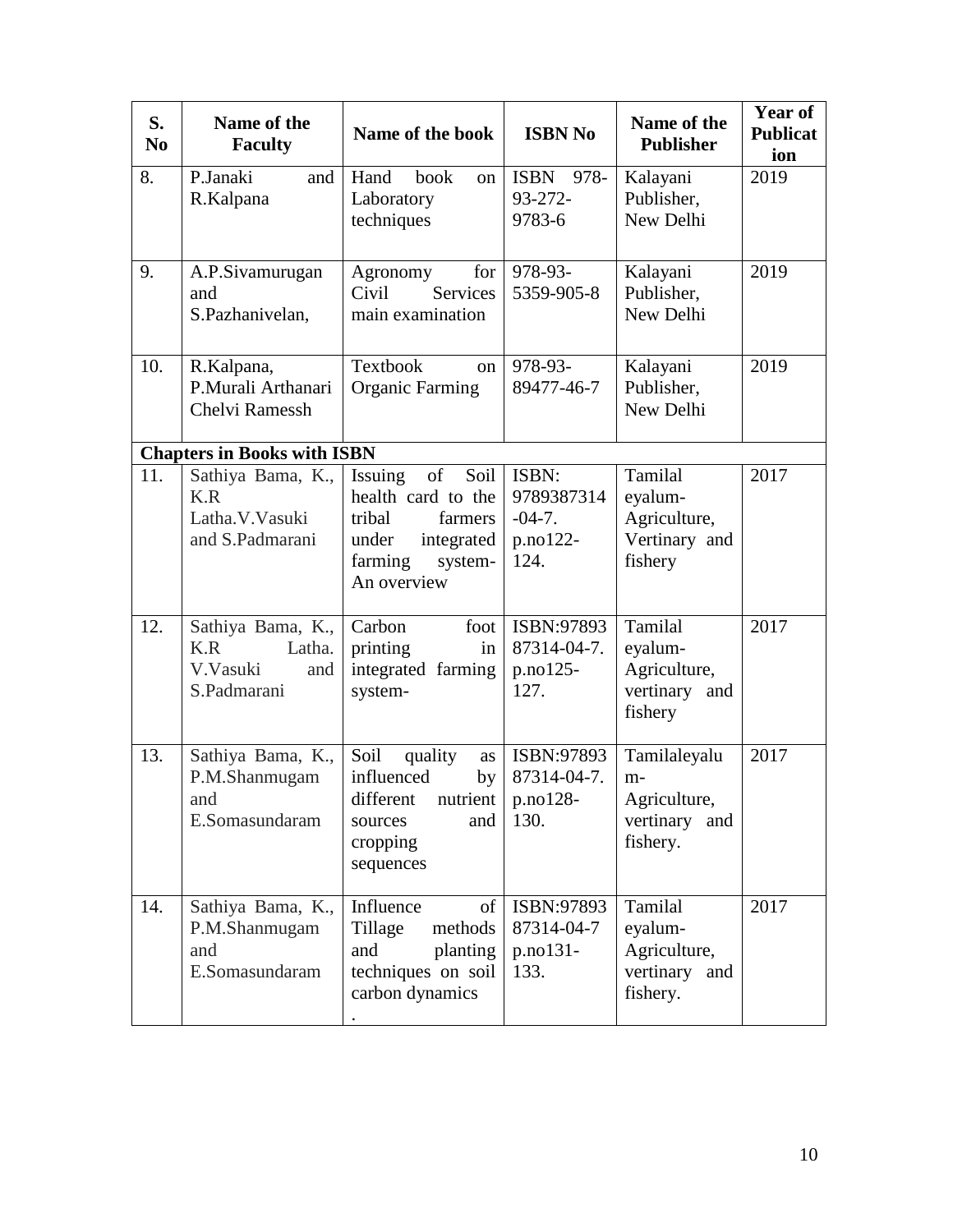| S.<br>N <sub>0</sub> | Name of the<br><b>Faculty</b>                                        | Name of the book                                                                                                             | <b>ISBN No</b>                                        | Name of the<br><b>Publisher</b>                                      | Year of<br><b>Publicat</b><br>ion |
|----------------------|----------------------------------------------------------------------|------------------------------------------------------------------------------------------------------------------------------|-------------------------------------------------------|----------------------------------------------------------------------|-----------------------------------|
| 8.                   | P.Janaki<br>and<br>R.Kalpana                                         | Hand<br>book<br>on<br>Laboratory<br>techniques                                                                               | ISBN<br>978-<br>$93 - 272 -$<br>9783-6                | Kalayani<br>Publisher,<br>New Delhi                                  | 2019                              |
| 9.                   | A.P.Sivamurugan<br>and<br>S.Pazhanivelan,                            | Agronomy<br>for<br>Civil<br><b>Services</b><br>main examination                                                              | 978-93-<br>5359-905-8                                 | Kalayani<br>Publisher,<br>New Delhi                                  | 2019                              |
| 10.                  | R.Kalpana,<br>P.Murali Arthanari<br>Chelvi Ramessh                   | Textbook<br>on<br><b>Organic Farming</b>                                                                                     | 978-93-<br>89477-46-7                                 | Kalayani<br>Publisher,<br>New Delhi                                  | 2019                              |
|                      | <b>Chapters in Books with ISBN</b>                                   |                                                                                                                              |                                                       |                                                                      |                                   |
| 11.                  | Sathiya Bama, K.,<br>K.R<br>Latha.V.Vasuki<br>and S.Padmarani        | Soil<br>Issuing<br>of<br>health card to the<br>tribal<br>farmers<br>integrated<br>under<br>farming<br>system-<br>An overview | ISBN:<br>9789387314<br>$-04-7.$<br>$p.no122-$<br>124. | Tamilal<br>eyalum-<br>Agriculture,<br>Vertinary and<br>fishery       | 2017                              |
| 12.                  | Sathiya Bama, K.,<br>K.R<br>Latha.<br>V.Vasuki<br>and<br>S.Padmarani | Carbon<br>foot<br>printing<br>in<br>integrated farming<br>system-                                                            | ISBN:97893<br>87314-04-7.<br>p.no125-<br>127.         | Tamilal<br>eyalum-<br>Agriculture,<br>vertinary and<br>fishery       | 2017                              |
| 13.                  | Sathiya Bama, K.,<br>P.M.Shanmugam<br>and<br>E.Somasundaram          | Soil<br>quality<br>as<br>influenced<br>by<br>different nutrient<br>and<br>sources<br>cropping<br>sequences                   | ISBN:97893<br>87314-04-7.<br>p.no128-<br>130.         | Tamilaleyalu<br>$m-$<br>Agriculture,<br>vertinary<br>and<br>fishery. | 2017                              |
| 14.                  | Sathiya Bama, K.,<br>P.M.Shanmugam<br>and<br>E.Somasundaram          | Influence<br>of<br>Tillage<br>methods<br>planting<br>and<br>techniques on soil<br>carbon dynamics                            | ISBN:97893<br>87314-04-7<br>p.no131-<br>133.          | Tamilal<br>eyalum-<br>Agriculture,<br>vertinary<br>and<br>fishery.   | 2017                              |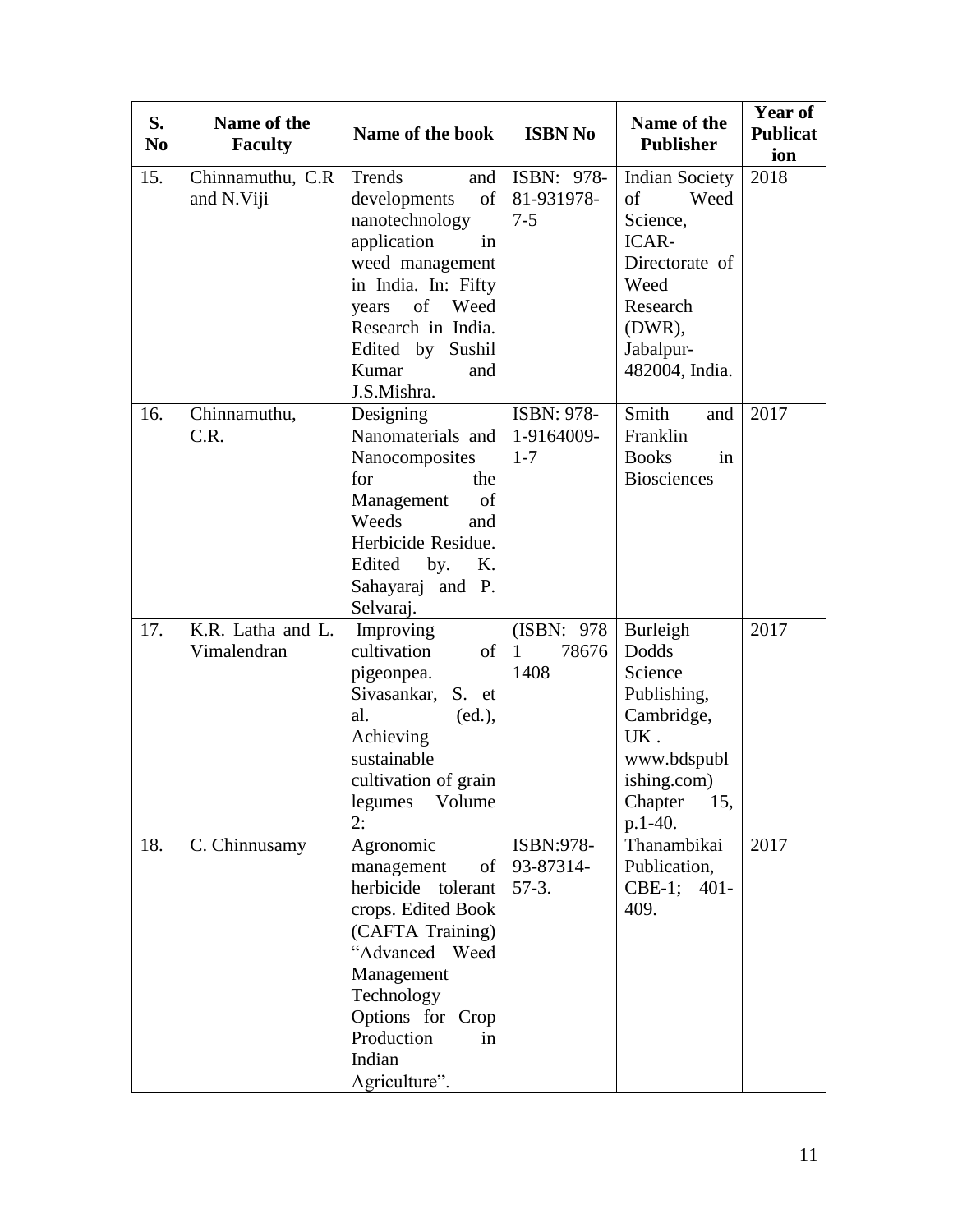| S.<br>N <sub>0</sub> | Name of the<br><b>Faculty</b>    | Name of the book                                                                                                                                                                                                                                                  | <b>ISBN No</b>                               | Name of the<br><b>Publisher</b>                                                                                                            | <b>Year of</b><br><b>Publicat</b><br>ion |
|----------------------|----------------------------------|-------------------------------------------------------------------------------------------------------------------------------------------------------------------------------------------------------------------------------------------------------------------|----------------------------------------------|--------------------------------------------------------------------------------------------------------------------------------------------|------------------------------------------|
| 15.                  | Chinnamuthu, C.R<br>and N.Viji   | Trends<br>and<br>of<br>developments<br>nanotechnology<br>application<br>in<br>weed management<br>in India. In: Fifty<br>of<br>Weed<br>years<br>Research in India.<br>Edited by Sushil<br>Kumar<br>and<br>J.S.Mishra.                                              | ISBN: 978-<br>81-931978-<br>$7 - 5$          | <b>Indian Society</b><br>of<br>Weed<br>Science,<br>ICAR-<br>Directorate of<br>Weed<br>Research<br>$(DWR)$ ,<br>Jabalpur-<br>482004, India. | 2018                                     |
| 16.                  | Chinnamuthu,<br>C.R.             | Designing<br>Nanomaterials and<br>Nanocomposites<br>for<br>the<br>of<br>Management<br>Weeds<br>and<br>Herbicide Residue.<br>by.<br>Edited<br>K.<br>Sahayaraj and P.<br>Selvaraj.                                                                                  | ISBN: 978-<br>1-9164009-<br>$1 - 7$          | Smith<br>and<br>Franklin<br><b>Books</b><br>in<br><b>Biosciences</b>                                                                       | 2017                                     |
| 17.                  | K.R. Latha and L.<br>Vimalendran | Improving<br>cultivation<br>$% \left( \left( \mathcal{A},\mathcal{A}\right) \right) =\left( \mathcal{A},\mathcal{A}\right)$ of<br>pigeonpea.<br>Sivasankar, S. et<br>al.<br>(ed.),<br>Achieving<br>sustainable<br>cultivation of grain<br>legumes<br>Volume<br>2: | (ISBN: 978)<br>78676<br>$\mathbf{1}$<br>1408 | Burleigh<br>Dodds<br>Science<br>Publishing,<br>Cambridge,<br>UK.<br>www.bdspubl<br>ishing.com)<br>Chapter<br>15,<br>p.1-40.                | 2017                                     |
| 18.                  | C. Chinnusamy                    | Agronomic<br>of<br>management<br>herbicide tolerant<br>crops. Edited Book<br>(CAFTA Training)<br>"Advanced Weed<br>Management<br>Technology<br>Options for Crop<br>Production<br>in<br>Indian<br>Agriculture".                                                    | ISBN:978-<br>93-87314-<br>$57-3.$            | Thanambikai<br>Publication,<br>CBE-1; 401-<br>409.                                                                                         | 2017                                     |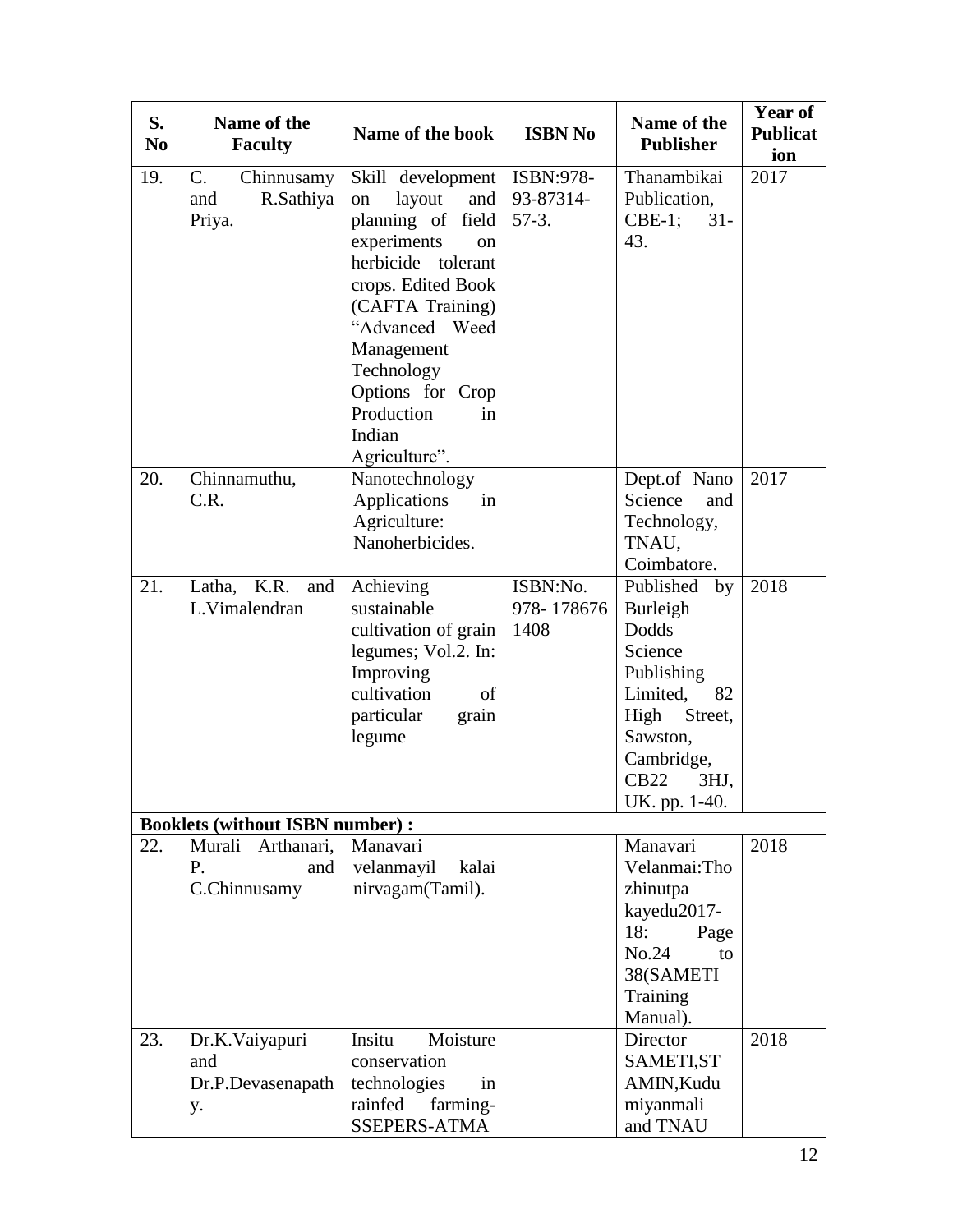| S.<br>No. | Name of the<br><b>Faculty</b>          | Name of the book                   | <b>ISBN No</b> | Name of the<br><b>Publisher</b> | <b>Year of</b><br><b>Publicat</b><br>ion |
|-----------|----------------------------------------|------------------------------------|----------------|---------------------------------|------------------------------------------|
| 19.       | C.<br>Chinnusamy                       | Skill development                  | ISBN:978-      | Thanambikai                     | 2017                                     |
|           | R.Sathiya<br>and                       | layout<br>and<br>on                | 93-87314-      | Publication,                    |                                          |
|           | Priya.                                 | planning of field                  | $57-3.$        | $CBE-1;$<br>$31 -$              |                                          |
|           |                                        | experiments<br><sub>on</sub>       |                | 43.                             |                                          |
|           |                                        | herbicide tolerant                 |                |                                 |                                          |
|           |                                        | crops. Edited Book                 |                |                                 |                                          |
|           |                                        | (CAFTA Training)<br>"Advanced Weed |                |                                 |                                          |
|           |                                        | Management                         |                |                                 |                                          |
|           |                                        | Technology                         |                |                                 |                                          |
|           |                                        | Options for Crop                   |                |                                 |                                          |
|           |                                        | Production<br>in                   |                |                                 |                                          |
|           |                                        | Indian                             |                |                                 |                                          |
|           |                                        | Agriculture".                      |                |                                 |                                          |
| 20.       | Chinnamuthu,                           | Nanotechnology                     |                | Dept.of Nano                    | 2017                                     |
|           | C.R.                                   | Applications<br>in                 |                | Science<br>and                  |                                          |
|           |                                        | Agriculture:                       |                | Technology,                     |                                          |
|           |                                        | Nanoherbicides.                    |                | TNAU,                           |                                          |
|           |                                        |                                    |                | Coimbatore.                     |                                          |
| 21.       | Latha, K.R.<br>and                     | Achieving                          | ISBN:No.       | Published<br>by                 | 2018                                     |
|           | L.Vimalendran                          | sustainable                        | 978-178676     | Burleigh                        |                                          |
|           |                                        | cultivation of grain               | 1408           | Dodds<br>Science                |                                          |
|           |                                        | legumes; Vol.2. In:<br>Improving   |                | Publishing                      |                                          |
|           |                                        | cultivation<br>of                  |                | Limited,<br>82                  |                                          |
|           |                                        | particular<br>grain                |                | High<br>Street,                 |                                          |
|           |                                        | legume                             |                | Sawston,                        |                                          |
|           |                                        |                                    |                | Cambridge,                      |                                          |
|           |                                        |                                    |                | CB22<br>3HJ,                    |                                          |
|           |                                        |                                    |                | UK. pp. 1-40.                   |                                          |
|           | <b>Booklets (without ISBN number):</b> |                                    |                |                                 |                                          |
| 22.       | Murali Arthanari,                      | Manavari                           |                | Manavari                        | 2018                                     |
|           | P.<br>and                              | velanmayil<br>kalai                |                | Velanmai:Tho                    |                                          |
|           | C.Chinnusamy                           | nirvagam(Tamil).                   |                | zhinutpa                        |                                          |
|           |                                        |                                    |                | kayedu2017-                     |                                          |
|           |                                        |                                    |                | 18:<br>Page                     |                                          |
|           |                                        |                                    |                | No.24<br>to<br>38(SAMETI        |                                          |
|           |                                        |                                    |                | Training                        |                                          |
|           |                                        |                                    |                | Manual).                        |                                          |
| 23.       | Dr.K.Vaiyapuri                         | Moisture<br>Insitu                 |                | Director                        | 2018                                     |
|           | and                                    | conservation                       |                | SAMETI, ST                      |                                          |
|           | Dr.P.Devasenapath                      | technologies<br>in                 |                | AMIN, Kudu                      |                                          |
|           | y.                                     | rainfed<br>farming-                |                | miyanmali                       |                                          |
|           |                                        | SSEPERS-ATMA                       |                | and TNAU                        |                                          |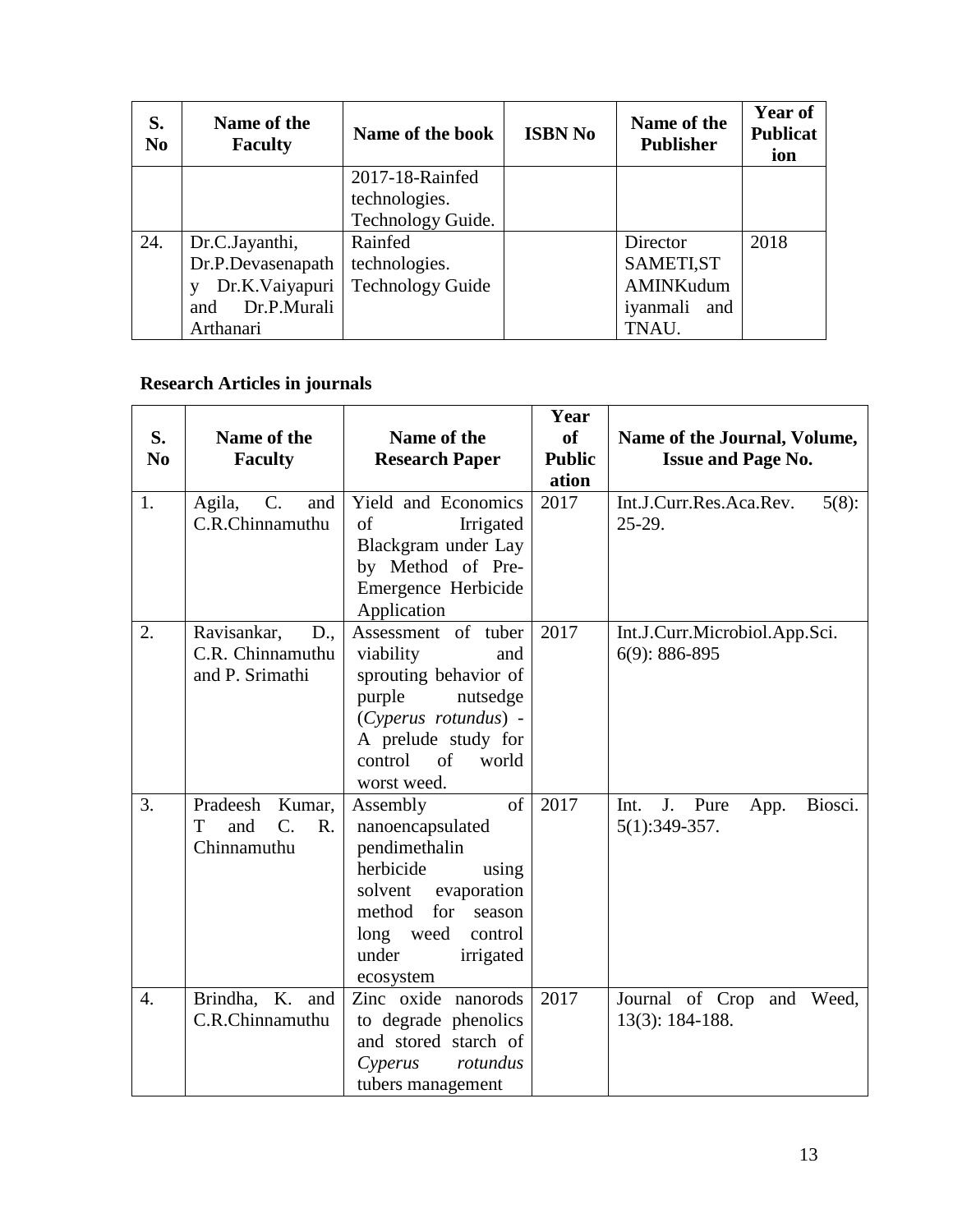| S.<br>N <sub>0</sub> | Name of the<br><b>Faculty</b> | Name of the book        | <b>ISBN No</b> | Name of the<br><b>Publisher</b> | <b>Year of</b><br><b>Publicat</b><br>ion |
|----------------------|-------------------------------|-------------------------|----------------|---------------------------------|------------------------------------------|
|                      |                               | 2017-18-Rainfed         |                |                                 |                                          |
|                      |                               | technologies.           |                |                                 |                                          |
|                      |                               | Technology Guide.       |                |                                 |                                          |
| 24.                  | Dr.C.Jayanthi,                | Rainfed                 |                | Director                        | 2018                                     |
|                      | Dr.P.Devasenapath             | technologies.           |                | SAMETI, ST                      |                                          |
|                      | Dr.K.Vaiyapuri                | <b>Technology Guide</b> |                | AMINKudum                       |                                          |
|                      | Dr.P.Murali<br>and            |                         |                | iyanmali and                    |                                          |
|                      | Arthanari                     |                         |                | TNAU.                           |                                          |

# **Research Articles in journals**

| S.             | Name of the                                                             | Name of the                                                                                                                                                                               | Year<br><b>of</b>      | Name of the Journal, Volume,                             |
|----------------|-------------------------------------------------------------------------|-------------------------------------------------------------------------------------------------------------------------------------------------------------------------------------------|------------------------|----------------------------------------------------------|
| N <sub>0</sub> | <b>Faculty</b>                                                          | <b>Research Paper</b>                                                                                                                                                                     | <b>Public</b><br>ation | <b>Issue and Page No.</b>                                |
| 1.             | $C_{\cdot}$<br>Agila,<br>and<br>C.R.Chinnamuthu                         | Yield and Economics<br>of<br>Irrigated<br>Blackgram under Lay<br>by Method of Pre-<br>Emergence Herbicide<br>Application                                                                  | 2017                   | Int.J.Curr.Res.Aca.Rev.<br>$5(8)$ :<br>$25-29.$          |
| 2.             | Ravisankar,<br>D.,<br>C.R. Chinnamuthu<br>and P. Srimathi               | Assessment of tuber<br>viability<br>and<br>sprouting behavior of<br>purple<br>nutsedge<br>(Cyperus rotundus) -<br>A prelude study for<br>control<br>$\sigma$ f<br>world<br>worst weed.    | 2017                   | Int.J.Curr.Microbiol.App.Sci.<br>$6(9)$ : 886-895        |
| 3.             | Pradeesh<br>Kumar,<br>$\overline{C}$ .<br>R.<br>T<br>and<br>Chinnamuthu | of<br>Assembly<br>nanoencapsulated<br>pendimethalin<br>herbicide<br>using<br>evaporation<br>solvent<br>method<br>for<br>season<br>long weed<br>control<br>under<br>irrigated<br>ecosystem | 2017                   | J.<br>Pure<br>Biosci.<br>Int.<br>App.<br>$5(1):349-357.$ |
| 4.             | Brindha, K. and<br>C.R.Chinnamuthu                                      | Zinc oxide nanorods<br>to degrade phenolics<br>and stored starch of<br>Cyperus<br>rotundus<br>tubers management                                                                           | 2017                   | Journal of Crop and<br>Weed,<br>13(3): 184-188.          |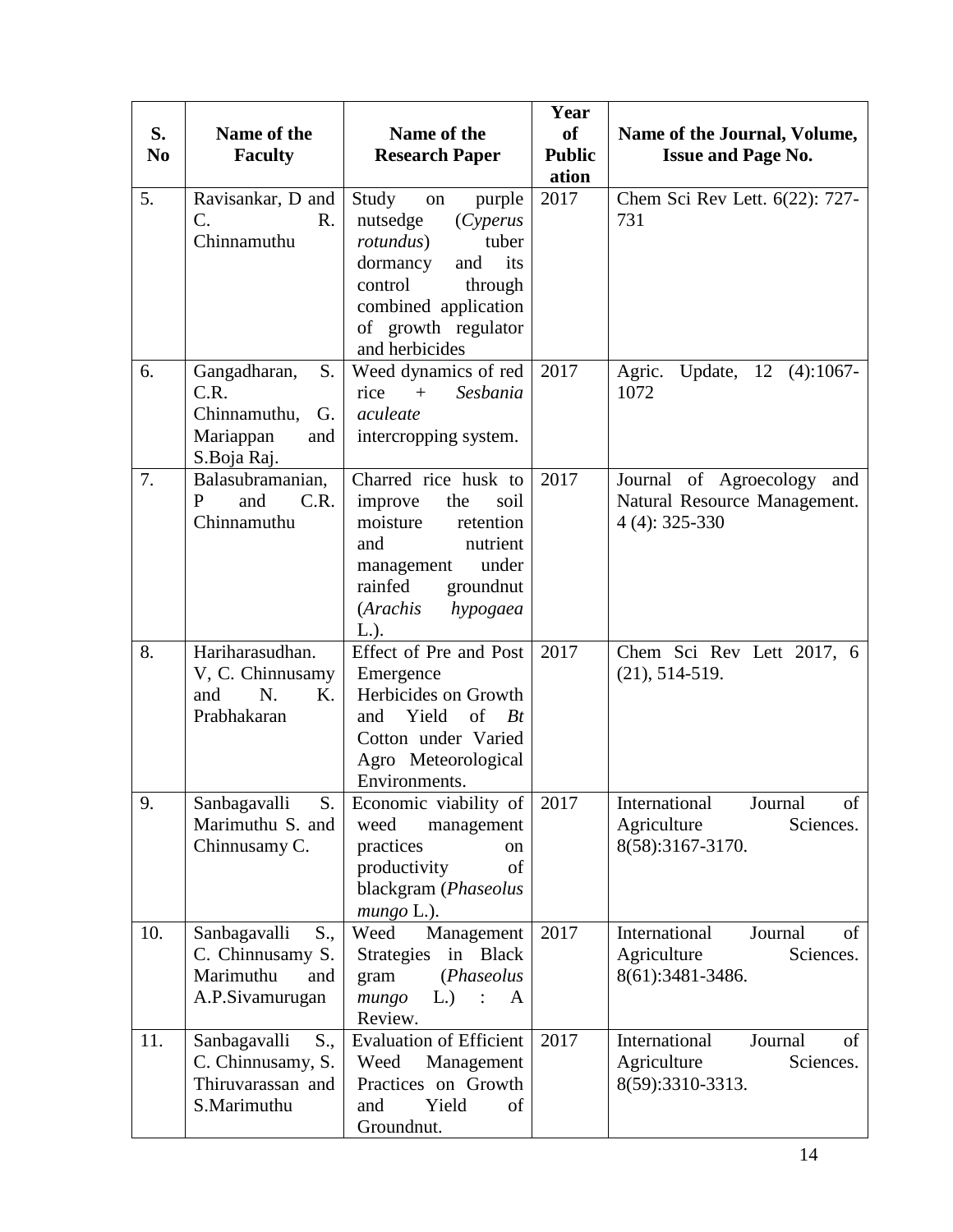| S.<br>N <sub>o</sub> | Name of the<br><b>Faculty</b>                                                       | Name of the<br><b>Research Paper</b>                                                                                                                                                         | Year<br><b>of</b><br><b>Public</b><br>ation | Name of the Journal, Volume,<br><b>Issue and Page No.</b>                        |
|----------------------|-------------------------------------------------------------------------------------|----------------------------------------------------------------------------------------------------------------------------------------------------------------------------------------------|---------------------------------------------|----------------------------------------------------------------------------------|
| 5.                   | Ravisankar, D and<br>C.<br>R.<br>Chinnamuthu                                        | Study<br>purple<br>on<br>nutsedge<br>(Cyperus<br>tuber<br><i>rotundus</i> )<br>dormancy<br>and<br>its<br>control<br>through<br>combined application<br>of growth regulator<br>and herbicides | 2017                                        | Chem Sci Rev Lett. 6(22): 727-<br>731                                            |
| 6.                   | Gangadharan,<br>S.<br>C.R.<br>Chinnamuthu,<br>G.<br>Mariappan<br>and<br>S.Boja Raj. | Weed dynamics of red<br>$+$<br>Sesbania<br>rice<br>aculeate<br>intercropping system.                                                                                                         | 2017                                        | Agric.<br>Update, 12 (4):1067-<br>1072                                           |
| 7.                   | Balasubramanian,<br>C.R.<br>P<br>and<br>Chinnamuthu                                 | Charred rice husk to<br>the<br>improve<br>soil<br>moisture<br>retention<br>nutrient<br>and<br>under<br>management<br>groundnut<br>rainfed<br>(Arachis<br>hypogaea<br>$L.$ ).                 | 2017                                        | Journal of Agroecology<br>and<br>Natural Resource Management.<br>$4(4): 325-330$ |
| 8.                   | Hariharasudhan.<br>V, C. Chinnusamy<br>N <sub>r</sub><br>and<br>K.<br>Prabhakaran   | Effect of Pre and Post<br>Emergence<br>Herbicides on Growth<br>Yield<br>of<br>Bt<br>and<br>Cotton under Varied<br>Agro Meteorological<br>Environments.                                       | 2017                                        | Chem Sci Rev Lett 2017, 6<br>$(21), 514-519.$                                    |
| 9.                   | Sanbagavalli<br>S.<br>Marimuthu S. and<br>Chinnusamy C.                             | Economic viability of<br>weed<br>management<br>practices<br>on<br>productivity<br>of<br>blackgram (Phaseolus<br>$mungo L.$ ).                                                                | 2017                                        | International<br>Journal<br>of<br>Agriculture<br>Sciences.<br>8(58):3167-3170.   |
| 10.                  | Sanbagavalli<br>S.,<br>C. Chinnusamy S.<br>Marimuthu<br>and<br>A.P.Sivamurugan      | Weed<br>Management<br>Strategies in Black<br>(Phaseolus<br>gram<br>mungo<br>$L)$ :<br>A<br>Review.                                                                                           | 2017                                        | International<br>Journal<br>of<br>Agriculture<br>Sciences.<br>8(61):3481-3486.   |
| 11.                  | Sanbagavalli<br>S.,<br>C. Chinnusamy, S.<br>Thiruvarassan and<br>S.Marimuthu        | <b>Evaluation of Efficient</b><br>Weed<br>Management<br>Practices on Growth<br>Yield<br>of<br>and<br>Groundnut.                                                                              | 2017                                        | International<br>of<br>Journal<br>Agriculture<br>Sciences.<br>8(59):3310-3313.   |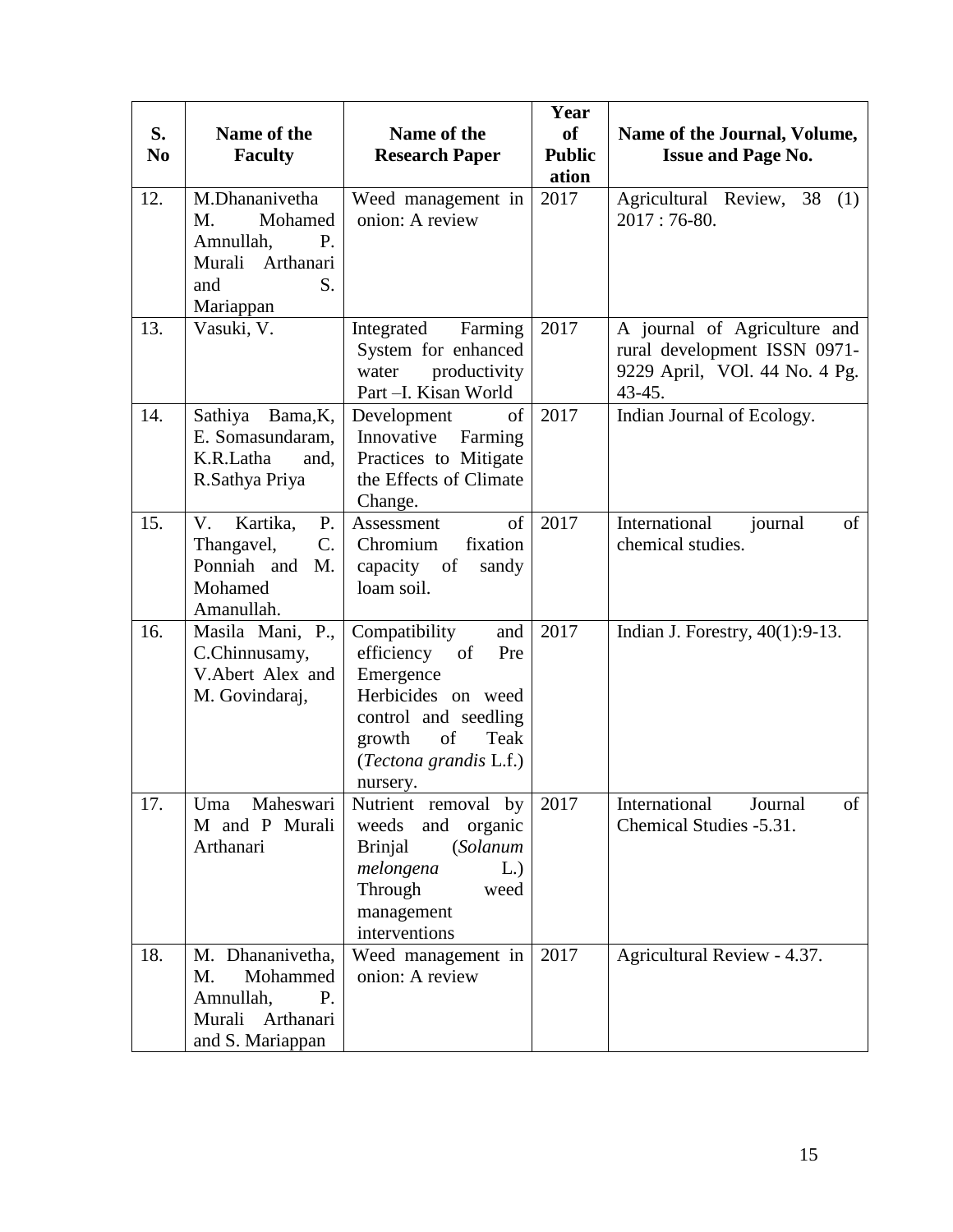| S.<br>N <sub>0</sub> | Name of the<br><b>Faculty</b>                                                                    | Name of the<br><b>Research Paper</b>                                                                                                                                  | Year<br>of<br><b>Public</b><br>ation | Name of the Journal, Volume,<br><b>Issue and Page No.</b>                                               |
|----------------------|--------------------------------------------------------------------------------------------------|-----------------------------------------------------------------------------------------------------------------------------------------------------------------------|--------------------------------------|---------------------------------------------------------------------------------------------------------|
| 12.                  | M.Dhananivetha<br>Mohamed<br>M.<br>Amnullah,<br>P.<br>Murali Arthanari<br>S.<br>and<br>Mariappan | Weed management in<br>onion: A review                                                                                                                                 | 2017                                 | Agricultural Review, 38<br>(1)<br>$2017:76-80.$                                                         |
| 13.                  | Vasuki, V.                                                                                       | Integrated<br>Farming<br>System for enhanced<br>productivity<br>water<br>Part -I. Kisan World                                                                         | 2017                                 | A journal of Agriculture and<br>rural development ISSN 0971-<br>9229 April, VOI. 44 No. 4 Pg.<br>43-45. |
| 14.                  | Sathiya Bama, K,<br>E. Somasundaram,<br>K.R.Latha<br>and,<br>R.Sathya Priya                      | of<br>Development<br>Innovative<br>Farming<br>Practices to Mitigate<br>the Effects of Climate<br>Change.                                                              | 2017                                 | Indian Journal of Ecology.                                                                              |
| 15.                  | Kartika,<br>V.<br>P.<br>C.<br>Thangavel,<br>Ponniah and<br>M.<br>Mohamed<br>Amanullah.           | $\sigma$<br>Assessment<br>Chromium<br>fixation<br>capacity of<br>sandy<br>loam soil.                                                                                  | 2017                                 | International<br>journal<br>of<br>chemical studies.                                                     |
| 16.                  | Masila Mani, P.,<br>C.Chinnusamy,<br>V.Abert Alex and<br>M. Govindaraj,                          | Compatibility<br>and<br>efficiency of<br>Pre<br>Emergence<br>Herbicides on weed<br>control and seedling<br>growth<br>Teak<br>of<br>(Tectona grandis L.f.)<br>nursery. | 2017                                 | Indian J. Forestry, $40(1):9-13$ .                                                                      |
| 17.                  | Maheswari<br>Uma<br>M and P Murali<br>Arthanari                                                  | Nutrient removal by<br>weeds<br>and organic<br><b>Brinjal</b><br><i>(Solanum</i> )<br>melongena<br>L.)<br>Through<br>weed<br>management<br>interventions              | 2017                                 | International<br>Journal<br>of<br>Chemical Studies -5.31.                                               |
| 18.                  | M. Dhananivetha,<br>Mohammed<br>M.<br>Amnullah,<br>P.<br>Murali Arthanari<br>and S. Mariappan    | Weed management in<br>onion: A review                                                                                                                                 | 2017                                 | Agricultural Review - 4.37.                                                                             |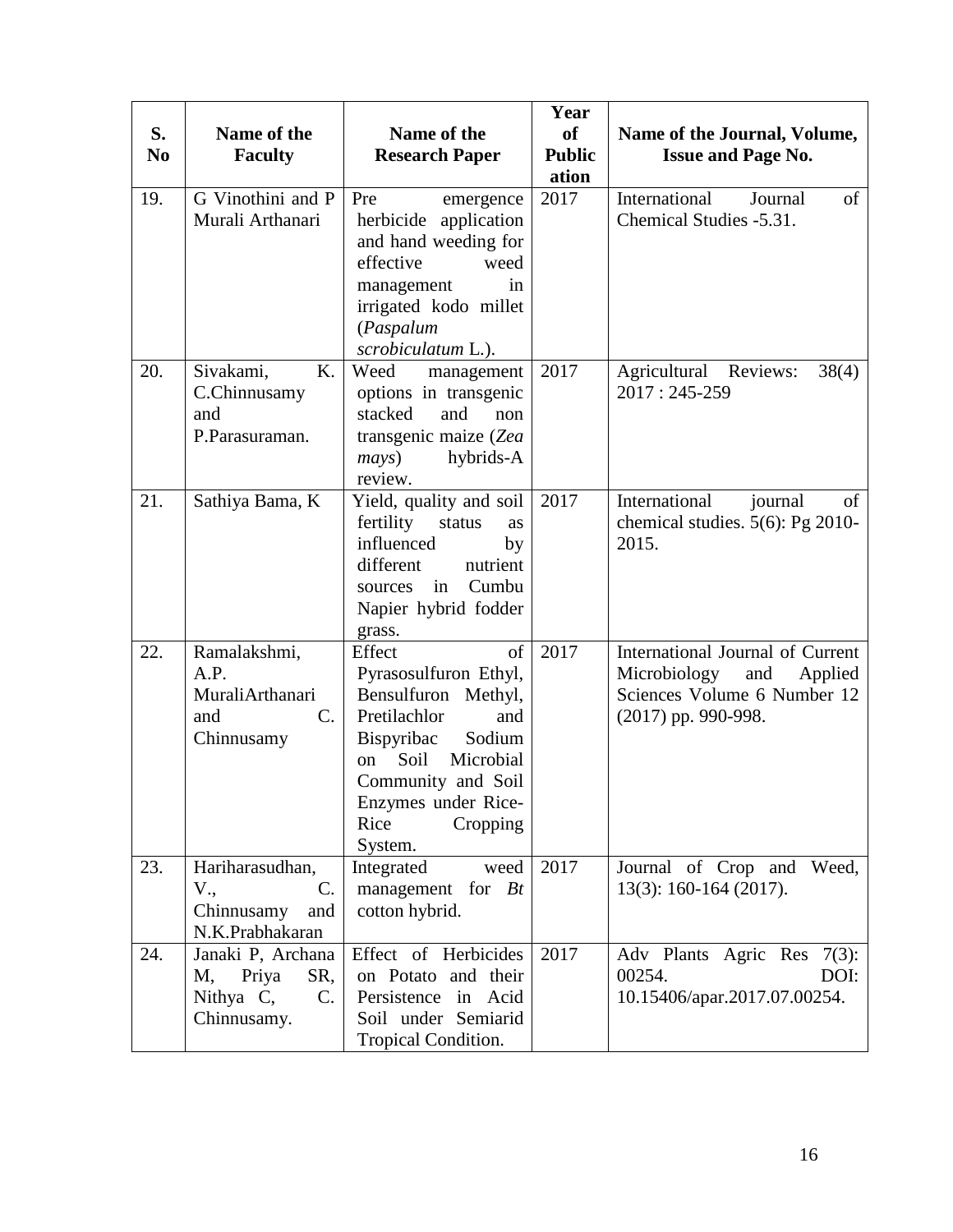| S.<br>N <sub>0</sub> | Name of the<br><b>Faculty</b>                                             | Name of the<br><b>Research Paper</b>                                                                                                                                                                                  | Year<br><b>of</b><br><b>Public</b><br>ation | Name of the Journal, Volume,<br><b>Issue and Page No.</b>                                                                  |
|----------------------|---------------------------------------------------------------------------|-----------------------------------------------------------------------------------------------------------------------------------------------------------------------------------------------------------------------|---------------------------------------------|----------------------------------------------------------------------------------------------------------------------------|
| 19.                  | G Vinothini and P<br>Murali Arthanari                                     | Pre<br>emergence<br>herbicide application<br>and hand weeding for<br>effective<br>weed<br>management<br>in<br>irrigated kodo millet<br>(Paspalum<br>scrobiculatum L.).                                                | 2017                                        | International<br>of<br>Journal<br>Chemical Studies -5.31.                                                                  |
| 20.                  | Sivakami,<br>K.<br>C.Chinnusamy<br>and<br>P.Parasuraman.                  | Weed<br>management<br>options in transgenic<br>stacked<br>and<br>non<br>transgenic maize (Zea<br>hybrids-A<br>mays)<br>review.                                                                                        | 2017                                        | Agricultural Reviews:<br>38(4)<br>2017: 245-259                                                                            |
| 21.                  | Sathiya Bama, K                                                           | Yield, quality and soil<br>fertility<br>status<br>as<br>influenced<br>by<br>different<br>nutrient<br>Cumbu<br>in<br>sources<br>Napier hybrid fodder<br>grass.                                                         | 2017                                        | International<br>of<br>journal<br>chemical studies. 5(6): Pg 2010-<br>2015.                                                |
| 22.                  | Ramalakshmi,<br>A.P.<br>MuraliArthanari<br>C.<br>and<br>Chinnusamy        | Effect<br>of<br>Pyrasosulfuron Ethyl,<br>Bensulfuron<br>Methyl,<br>Pretilachlor<br>and<br>Bispyribac<br>Sodium<br>Soil<br>Microbial<br>on<br>Community and Soil<br>Enzymes under Rice-<br>Rice<br>Cropping<br>System. | 2017                                        | International Journal of Current<br>Microbiology<br>and<br>Applied<br>Sciences Volume 6 Number 12<br>$(2017)$ pp. 990-998. |
| 23.                  | Hariharasudhan,<br>V.,<br>C.<br>Chinnusamy<br>and<br>N.K.Prabhakaran      | Integrated<br>weed<br>management for $Bt$<br>cotton hybrid.                                                                                                                                                           | 2017                                        | Journal of Crop and Weed,<br>$13(3)$ : 160-164 (2017).                                                                     |
| 24.                  | Janaki P, Archana<br>M,<br>Priya<br>SR,<br>Nithya C,<br>C.<br>Chinnusamy. | Effect of Herbicides<br>on Potato and their<br>Persistence in Acid<br>Soil under Semiarid<br>Tropical Condition.                                                                                                      | 2017                                        | Adv Plants Agric Res 7(3):<br>00254.<br>DOI:<br>10.15406/apar.2017.07.00254.                                               |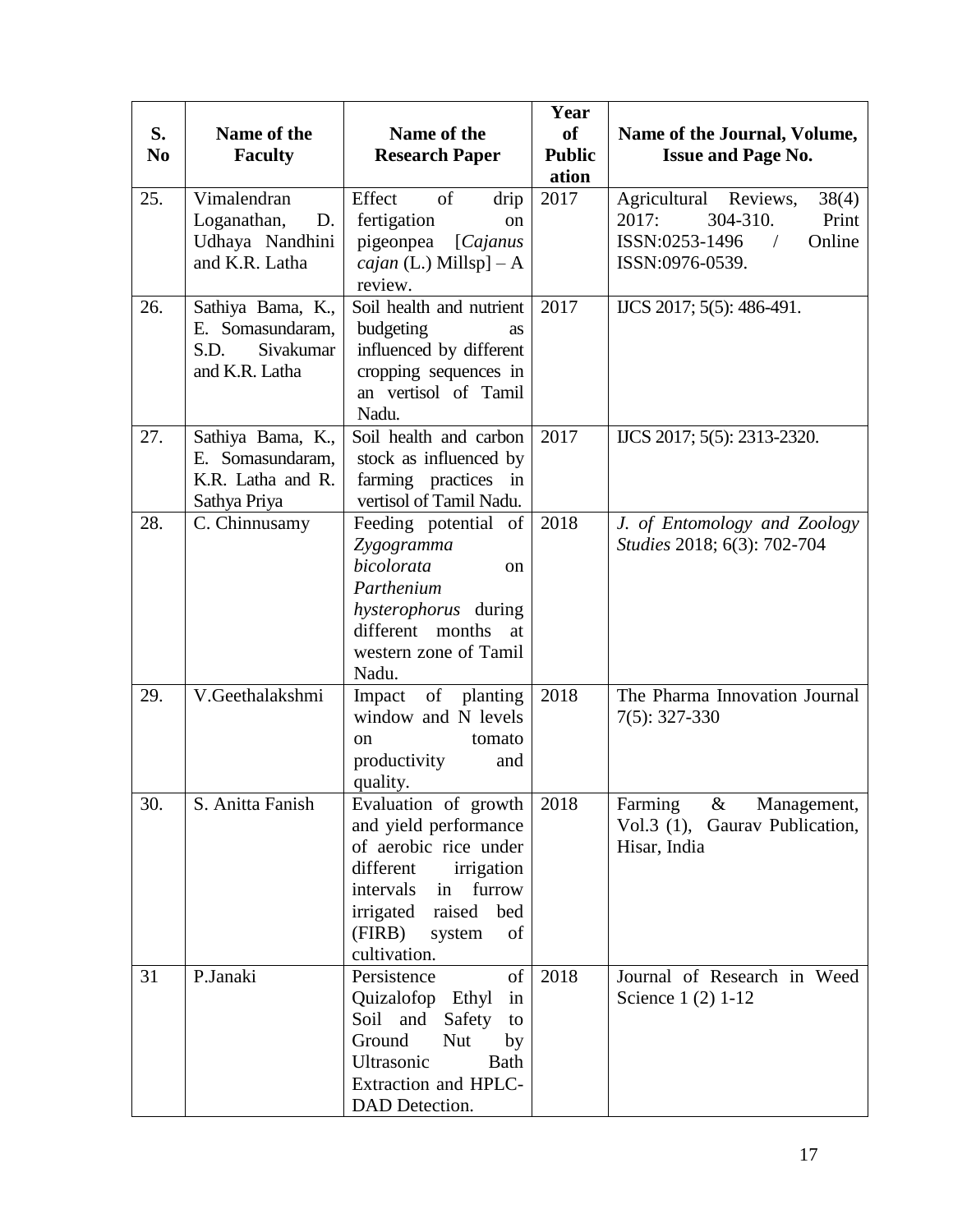| S.<br>N <sub>0</sub> | Name of the<br><b>Faculty</b>                                                | Name of the<br><b>Research Paper</b>                                                                                                                                                             | Year<br>of<br><b>Public</b><br>ation | Name of the Journal, Volume,<br><b>Issue and Page No.</b>                                                                 |
|----------------------|------------------------------------------------------------------------------|--------------------------------------------------------------------------------------------------------------------------------------------------------------------------------------------------|--------------------------------------|---------------------------------------------------------------------------------------------------------------------------|
| 25.                  | Vimalendran<br>Loganathan,<br>D.<br>Udhaya Nandhini<br>and K.R. Latha        | of<br>Effect<br>drip<br>fertigation<br>on<br>pigeonpea [Cajanus<br><i>cajan</i> (L.) Millsp] $- A$<br>review.                                                                                    | 2017                                 | Agricultural Reviews,<br>38(4)<br>304-310.<br>2017:<br>Print<br>ISSN:0253-1496<br>Online<br>$\sqrt{2}$<br>ISSN:0976-0539. |
| 26.                  | Sathiya Bama, K.,<br>E. Somasundaram,<br>S.D.<br>Sivakumar<br>and K.R. Latha | Soil health and nutrient<br>budgeting<br>as<br>influenced by different<br>cropping sequences in<br>an vertisol of Tamil<br>Nadu.                                                                 | 2017                                 | IJCS 2017; 5(5): 486-491.                                                                                                 |
| 27.                  | Sathiya Bama, K.,<br>E. Somasundaram,<br>K.R. Latha and R.<br>Sathya Priya   | Soil health and carbon<br>stock as influenced by<br>farming practices in<br>vertisol of Tamil Nadu.                                                                                              | 2017                                 | IJCS 2017; 5(5): 2313-2320.                                                                                               |
| 28.                  | C. Chinnusamy                                                                | Feeding potential of<br>Zygogramma<br>bicolorata<br><sub>on</sub><br>Parthenium<br><i>hysterophorus</i> during<br>different months<br>at<br>western zone of Tamil<br>Nadu.                       | 2018                                 | J. of Entomology and Zoology<br>Studies 2018; 6(3): 702-704                                                               |
| 29.                  | V.Geethalakshmi                                                              | Impact of planting<br>window and N levels<br>tomato<br>on<br>productivity<br>and<br>quality.                                                                                                     | 2018                                 | The Pharma Innovation Journal<br>$7(5): 327-330$                                                                          |
| 30.                  | S. Anitta Fanish                                                             | Evaluation of growth<br>and yield performance<br>of aerobic rice under<br>different<br>irrigation<br>furrow<br>intervals in<br>irrigated raised<br>bed<br>(FIRB)<br>system<br>of<br>cultivation. | 2018                                 | Farming<br>$\&$<br>Management,<br>Vol.3 (1), Gaurav Publication,<br>Hisar, India                                          |
| 31                   | P.Janaki                                                                     | of<br>Persistence<br>Quizalofop Ethyl<br>in<br>Soil and<br>Safety<br>to<br>Ground<br><b>Nut</b><br>by<br>Ultrasonic<br>Bath<br>Extraction and HPLC-<br>DAD Detection.                            | 2018                                 | Journal of Research in Weed<br>Science 1 (2) 1-12                                                                         |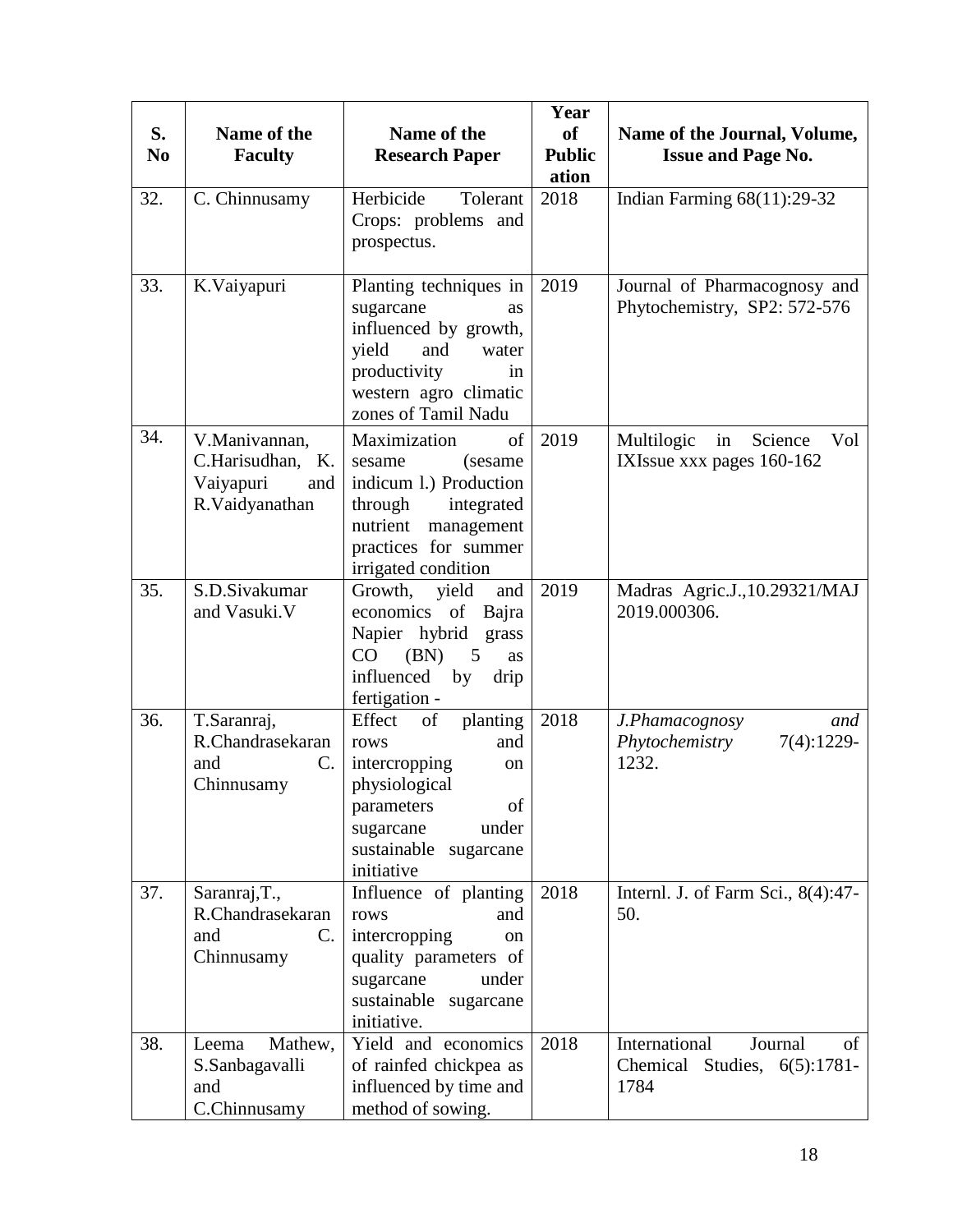| S.<br>N <sub>0</sub> | Name of the<br><b>Faculty</b>                                            | Name of the<br><b>Research Paper</b>                                                                                                                                 | Year<br><b>of</b><br><b>Public</b><br>ation | Name of the Journal, Volume,<br><b>Issue and Page No.</b>                 |
|----------------------|--------------------------------------------------------------------------|----------------------------------------------------------------------------------------------------------------------------------------------------------------------|---------------------------------------------|---------------------------------------------------------------------------|
| 32.                  | C. Chinnusamy                                                            | Herbicide<br>Tolerant<br>Crops: problems and<br>prospectus.                                                                                                          | 2018                                        | Indian Farming $68(11):29-32$                                             |
| 33.                  | K.Vaiyapuri                                                              | Planting techniques in<br>sugarcane<br>as<br>influenced by growth,<br>yield<br>and<br>water<br>productivity<br>in<br>western agro climatic<br>zones of Tamil Nadu    | 2019                                        | Journal of Pharmacognosy and<br>Phytochemistry, SP2: 572-576              |
| 34.                  | V.Manivannan,<br>C.Harisudhan, K.<br>Vaiyapuri<br>and<br>R.Vaidyanathan  | of<br>Maximization<br>(sesame)<br>sesame<br>indicum 1.) Production<br>through<br>integrated<br>nutrient<br>management<br>practices for summer<br>irrigated condition | 2019                                        | Multilogic<br>Science<br>Vol<br>in<br>IXIssue xxx pages 160-162           |
| 35.                  | S.D.Sivakumar<br>and Vasuki.V                                            | Growth,<br>yield<br>and<br>economics of Bajra<br>Napier hybrid<br>grass<br>CO<br>(BN)<br>5<br><b>as</b><br>influenced<br>by<br>drip<br>fertigation -                 | 2019                                        | Madras Agric.J., 10.29321/MAJ<br>2019.000306.                             |
| 36.                  | T.Saranraj,<br>R.Chandrasekaran<br>and<br>C.<br>Chinnusamy               | Effect<br>of<br>planting<br>and<br>rows<br>intercropping<br>on<br>physiological<br>of<br>parameters<br>under<br>sugarcane<br>sustainable<br>sugarcane<br>initiative  | 2018                                        | J.Phamacognosy<br>and<br>Phytochemistry<br>$7(4):1229-$<br>1232.          |
| 37.                  | Saranraj, T.,<br>R.Chandrasekaran<br>and<br>$\mathbf{C}$ .<br>Chinnusamy | Influence of planting<br>and<br>rows<br>intercropping<br><sub>on</sub><br>quality parameters of<br>under<br>sugarcane<br>sustainable sugarcane<br>initiative.        | 2018                                        | Internl. J. of Farm Sci., 8(4):47-<br>50.                                 |
| 38.                  | Mathew,<br>Leema<br>S.Sanbagavalli<br>and<br>C.Chinnusamy                | Yield and economics<br>of rainfed chickpea as<br>influenced by time and<br>method of sowing.                                                                         | 2018                                        | International<br>Journal<br>of<br>Chemical<br>Studies, 6(5):1781-<br>1784 |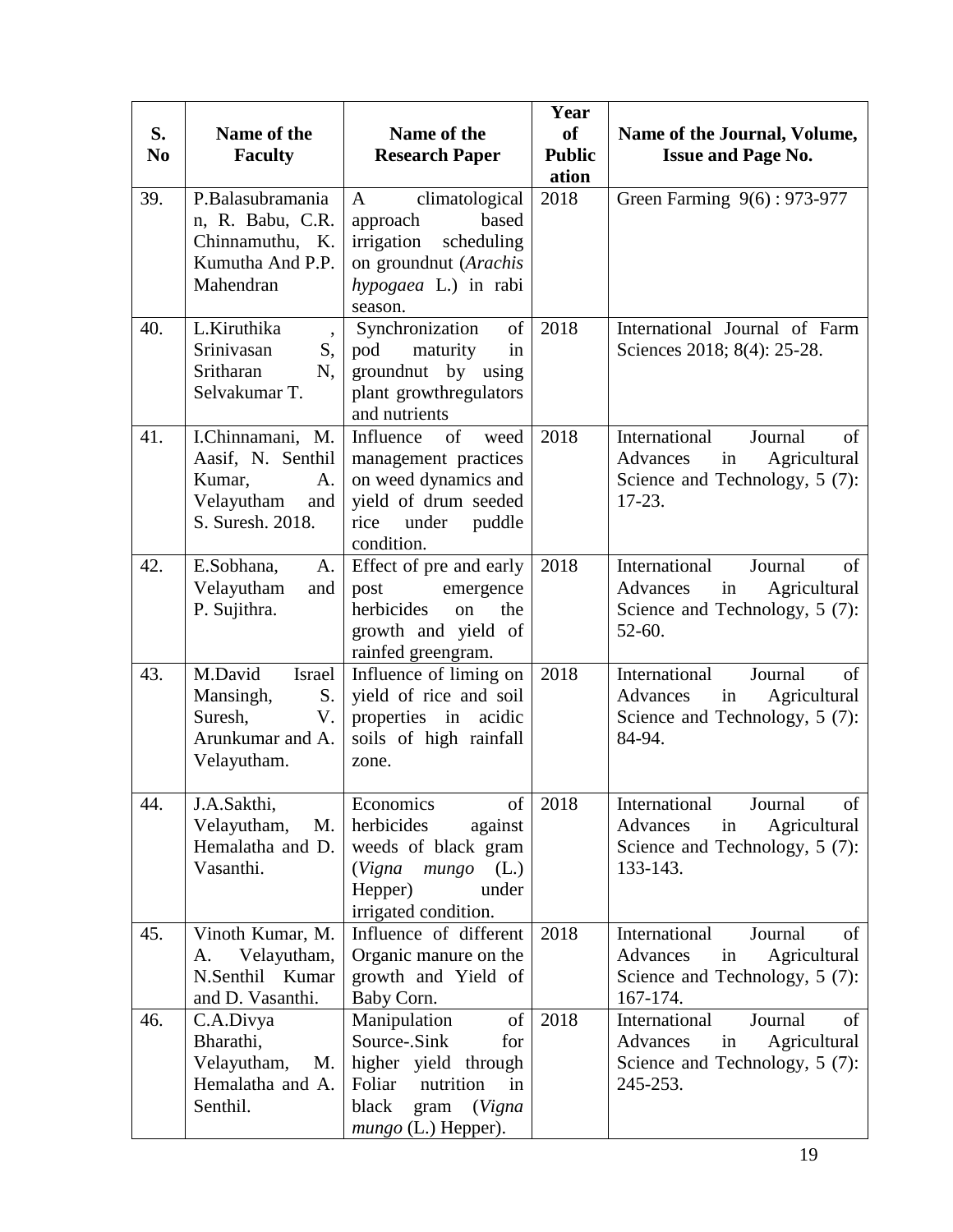| S.<br>N <sub>0</sub> | Name of the<br><b>Faculty</b>                                                                   | Name of the<br><b>Research Paper</b>                                                                                                               | Year<br>of<br><b>Public</b><br>ation | Name of the Journal, Volume,<br><b>Issue and Page No.</b>                                                        |
|----------------------|-------------------------------------------------------------------------------------------------|----------------------------------------------------------------------------------------------------------------------------------------------------|--------------------------------------|------------------------------------------------------------------------------------------------------------------|
| 39.                  | P.Balasubramania<br>n, R. Babu, C.R.<br>Chinnamuthu, K.<br>Kumutha And P.P.<br>Mahendran        | climatological<br>$\mathbf{A}$<br>based<br>approach<br>irrigation<br>scheduling<br>on groundnut (Arachis<br>hypogaea L.) in rabi<br>season.        | 2018                                 | Green Farming 9(6): 973-977                                                                                      |
| 40.                  | L.Kiruthika<br>$\overline{\phantom{a}}$<br>Srinivasan<br>S,<br>Sritharan<br>N.<br>Selvakumar T. | Synchronization<br>of<br>maturity<br>pod<br>in<br>groundnut by using<br>plant growthregulators<br>and nutrients                                    | 2018                                 | International Journal of Farm<br>Sciences 2018; 8(4): 25-28.                                                     |
| 41.                  | I.Chinnamani, M.<br>Aasif, N. Senthil<br>Kumar,<br>A.<br>Velayutham<br>and<br>S. Suresh. 2018.  | Influence<br>of<br>weed<br>management practices<br>on weed dynamics and<br>yield of drum seeded<br>under<br>puddle<br>rice<br>condition.           | 2018                                 | International<br>Journal<br>of<br>Agricultural<br>Advances<br>in<br>Science and Technology, 5 (7):<br>$17-23.$   |
| 42.                  | E.Sobhana,<br>A.<br>Velayutham<br>and<br>P. Sujithra.                                           | Effect of pre and early<br>post<br>emergence<br>herbicides<br>the<br>on<br>growth and yield of<br>rainfed greengram.                               | 2018                                 | International<br>Journal<br>of<br>Agricultural<br>Advances<br>in<br>Science and Technology, 5 (7):<br>$52 - 60.$ |
| 43.                  | M.David<br>Israel<br>Mansingh,<br>S.<br>Suresh,<br>V.<br>Arunkumar and A.<br>Velayutham.        | Influence of liming on<br>yield of rice and soil<br>properties in acidic<br>soils of high rainfall<br>zone.                                        | 2018                                 | International<br>Journal<br>of<br>Agricultural<br>Advances<br>in<br>Science and Technology, 5 (7):<br>84-94.     |
| 44.                  | J.A.Sakthi,<br>Velayutham,<br>M.<br>Hemalatha and D.<br>Vasanthi.                               | Economics<br>of<br>herbicides<br>against<br>weeds of black gram<br>(Vigna<br>mungo<br>(L.)<br>Hepper)<br>under<br>irrigated condition.             | 2018                                 | International<br>Journal<br>of<br>Agricultural<br>Advances<br>in<br>Science and Technology, 5 (7):<br>133-143.   |
| 45.                  | Vinoth Kumar, M.<br>Velayutham,<br>А.<br>N.Senthil Kumar<br>and D. Vasanthi.                    | Influence of different<br>Organic manure on the<br>growth and Yield of<br>Baby Corn.                                                               | 2018                                 | International<br>Journal<br>of<br>Advances<br>Agricultural<br>in<br>Science and Technology, 5 (7):<br>167-174.   |
| 46.                  | C.A.Divya<br>Bharathi,<br>Velayutham,<br>M.<br>Hemalatha and A.<br>Senthil.                     | Manipulation<br>of<br>Source-.Sink<br>for<br>higher yield through<br>nutrition<br>Foliar<br>in<br>black<br>(Vigna<br>gram<br>$mungo$ (L.) Hepper). | 2018                                 | International<br>Journal<br>of<br>Agricultural<br>Advances<br>in<br>Science and Technology, 5 (7):<br>245-253.   |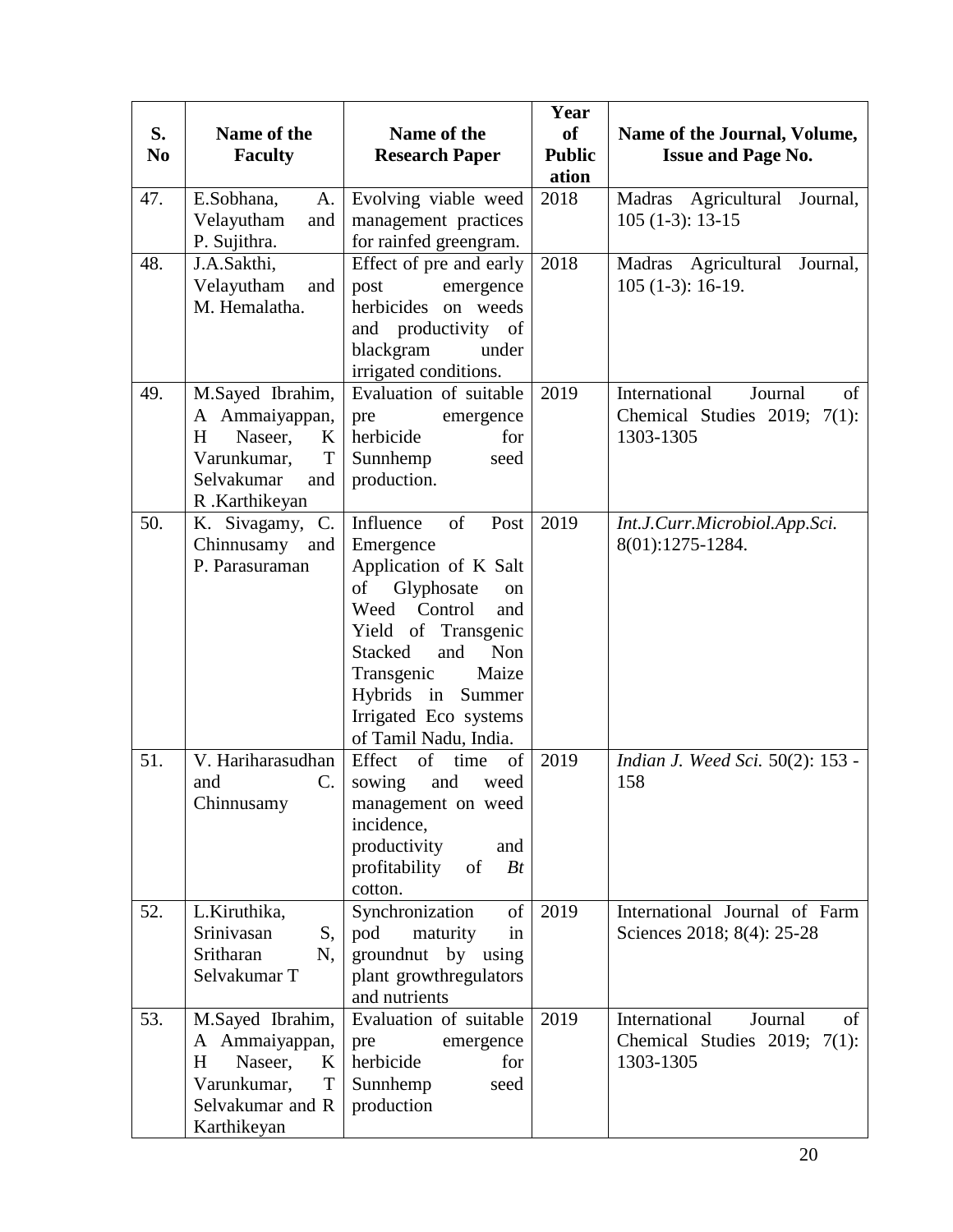| S.<br>N <sub>0</sub> | Name of the<br><b>Faculty</b>                                                                                             | Name of the<br><b>Research Paper</b>                                                                                                                                                                                                                                       | Year<br>of<br><b>Public</b><br>ation | Name of the Journal, Volume,<br><b>Issue and Page No.</b>                      |
|----------------------|---------------------------------------------------------------------------------------------------------------------------|----------------------------------------------------------------------------------------------------------------------------------------------------------------------------------------------------------------------------------------------------------------------------|--------------------------------------|--------------------------------------------------------------------------------|
| 47.                  | E.Sobhana,<br>A.<br>Velayutham<br>and<br>P. Sujithra.                                                                     | Evolving viable weed<br>management practices<br>for rainfed greengram.                                                                                                                                                                                                     | 2018                                 | Madras Agricultural<br>Journal,<br>$105(1-3): 13-15$                           |
| 48.                  | J.A.Sakthi,<br>Velayutham<br>and<br>M. Hemalatha.                                                                         | Effect of pre and early<br>post<br>emergence<br>herbicides<br>on weeds<br>productivity of<br>and<br>blackgram<br>under<br>irrigated conditions.                                                                                                                            | 2018                                 | Madras Agricultural<br>Journal,<br>$105(1-3): 16-19.$                          |
| 49.                  | M.Sayed Ibrahim,<br>A Ammaiyappan,<br>$H_{\rm}$<br>Naseer,<br>K<br>Varunkumar,<br>T<br>Selvakumar<br>and<br>R.Karthikeyan | Evaluation of suitable<br>pre<br>emergence<br>herbicide<br>for<br>Sunnhemp<br>seed<br>production.                                                                                                                                                                          | 2019                                 | International<br>Journal<br>of<br>Chemical Studies 2019; 7(1):<br>1303-1305    |
| 50.                  | K. Sivagamy, C.<br>Chinnusamy and<br>P. Parasuraman                                                                       | of<br>Influence<br>Post<br>Emergence<br>Application of K Salt<br>of<br>Glyphosate<br>on<br>Weed Control<br>and<br>Yield of Transgenic<br>and<br><b>Stacked</b><br><b>Non</b><br>Transgenic<br>Maize<br>Hybrids in Summer<br>Irrigated Eco systems<br>of Tamil Nadu, India. | 2019                                 | Int.J.Curr.Microbiol.App.Sci.<br>8(01):1275-1284.                              |
| 51.                  | V. Hariharasudhan<br>C.<br>and<br>Chinnusamy                                                                              | Effect<br>of  <br>of<br>time<br>and<br>sowing<br>weed<br>management on weed<br>incidence,<br>productivity<br>and<br>profitability<br>$B_t$<br>of<br>cotton.                                                                                                                | 2019                                 | Indian J. Weed Sci. 50(2): 153 -<br>158                                        |
| 52.                  | L.Kiruthika,<br>Srinivasan<br>S,<br>Sritharan<br>N,<br>Selvakumar T                                                       | Synchronization<br>of<br>pod<br>maturity<br>in<br>groundnut by using<br>plant growthregulators<br>and nutrients                                                                                                                                                            | 2019                                 | International Journal of Farm<br>Sciences 2018; 8(4): 25-28                    |
| 53.                  | M.Sayed Ibrahim,<br>A Ammaiyappan,<br>H<br>Naseer,<br>K<br>Varunkumar,<br>T<br>Selvakumar and R<br>Karthikeyan            | Evaluation of suitable<br>pre<br>emergence<br>herbicide<br>for<br>Sunnhemp<br>seed<br>production                                                                                                                                                                           | 2019                                 | International<br>Journal<br>of<br>Chemical Studies 2019; $7(1)$ :<br>1303-1305 |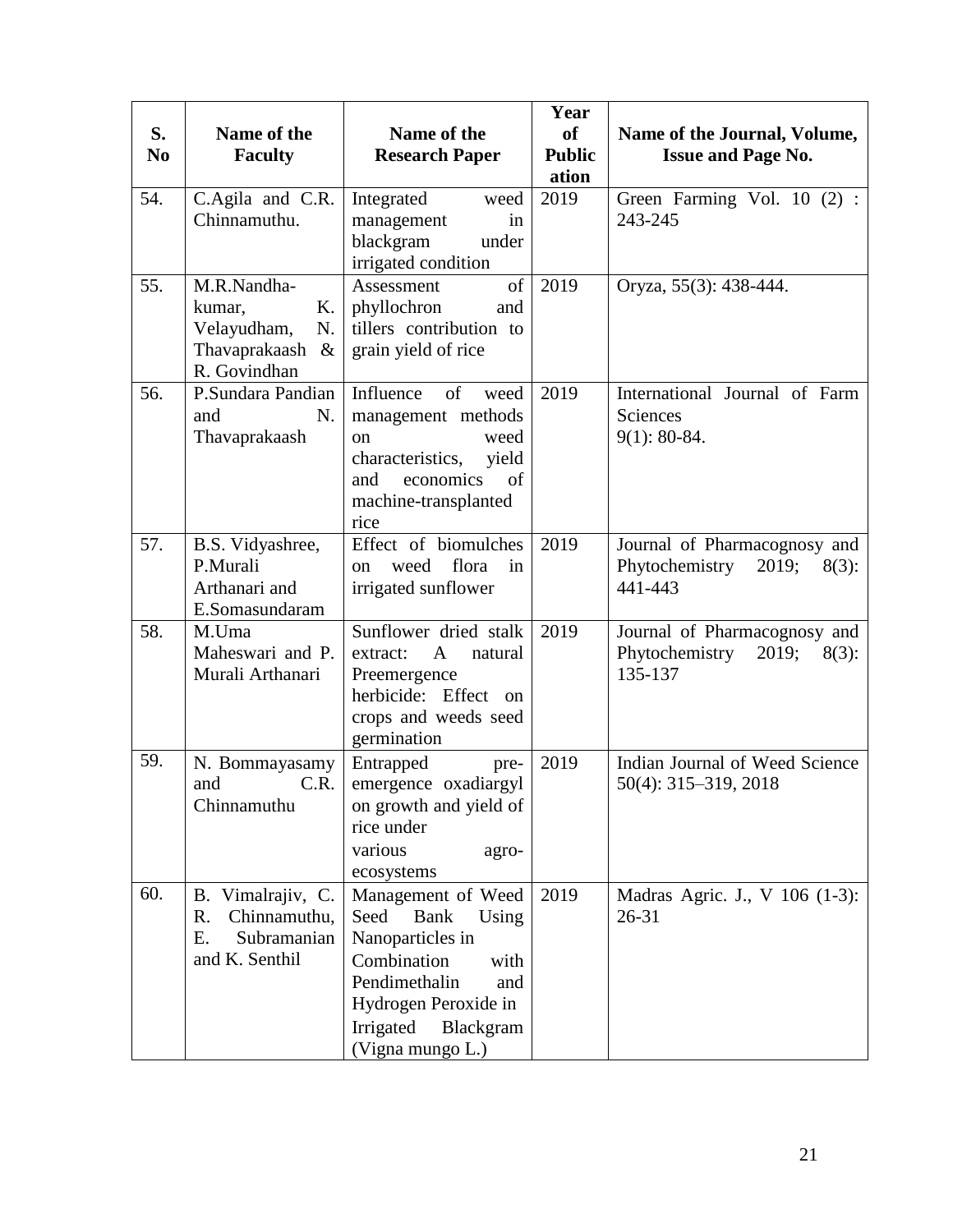| S.<br>N <sub>0</sub> | Name of the<br><b>Faculty</b>                                                       | Name of the<br><b>Research Paper</b>                                                                                                                                                        | Year<br><b>of</b><br><b>Public</b><br>ation | Name of the Journal, Volume,<br><b>Issue and Page No.</b>                      |
|----------------------|-------------------------------------------------------------------------------------|---------------------------------------------------------------------------------------------------------------------------------------------------------------------------------------------|---------------------------------------------|--------------------------------------------------------------------------------|
| 54.                  | C.Agila and C.R.<br>Chinnamuthu.                                                    | Integrated<br>weed<br>management<br>in<br>blackgram<br>under<br>irrigated condition                                                                                                         | 2019                                        | Green Farming Vol. 10 (2) :<br>243-245                                         |
| 55.                  | M.R.Nandha-<br>Κ.<br>kumar,<br>Velayudham,<br>N.<br>Thavaprakaash &<br>R. Govindhan | of<br>Assessment<br>phyllochron<br>and<br>tillers contribution to<br>grain yield of rice                                                                                                    | 2019                                        | Oryza, 55(3): 438-444.                                                         |
| 56.                  | P.Sundara Pandian<br>N.<br>and<br>Thavaprakaash                                     | Influence<br>of<br>weed<br>management methods<br>weed<br>on<br>characteristics,<br>yield<br>and<br>economics<br>of<br>machine-transplanted<br>rice                                          | 2019                                        | International Journal of Farm<br>Sciences<br>$9(1): 80-84.$                    |
| 57.                  | B.S. Vidyashree,<br>P.Murali<br>Arthanari and<br>E.Somasundaram                     | Effect of biomulches<br>flora<br>weed<br>in<br>on<br>irrigated sunflower                                                                                                                    | 2019                                        | Journal of Pharmacognosy and<br>Phytochemistry<br>2019;<br>$8(3)$ :<br>441-443 |
| 58.                  | M.Uma<br>Maheswari and P.<br>Murali Arthanari                                       | Sunflower dried stalk<br>$\mathbf{A}$<br>natural<br>extract:<br>Preemergence<br>herbicide: Effect on<br>crops and weeds seed<br>germination                                                 | 2019                                        | Journal of Pharmacognosy and<br>Phytochemistry<br>2019;<br>$8(3)$ :<br>135-137 |
| 59.                  | N. Bommayasamy<br>C.R.<br>and<br>Chinnamuthu                                        | Entrapped<br>pre-<br>emergence oxadiargyl<br>on growth and yield of<br>rice under<br>various<br>agro-<br>ecosystems                                                                         | 2019                                        | Indian Journal of Weed Science<br>50(4): 315-319, 2018                         |
| 60.                  | B. Vimalrajiv, C.<br>Chinnamuthu,<br>R.<br>Subramanian<br>Ε.<br>and K. Senthil      | Management of Weed<br>Seed<br><b>Bank</b><br>Using<br>Nanoparticles in<br>Combination<br>with<br>Pendimethalin<br>and<br>Hydrogen Peroxide in<br>Irrigated<br>Blackgram<br>(Vigna mungo L.) | 2019                                        | Madras Agric. J., V 106 (1-3):<br>$26 - 31$                                    |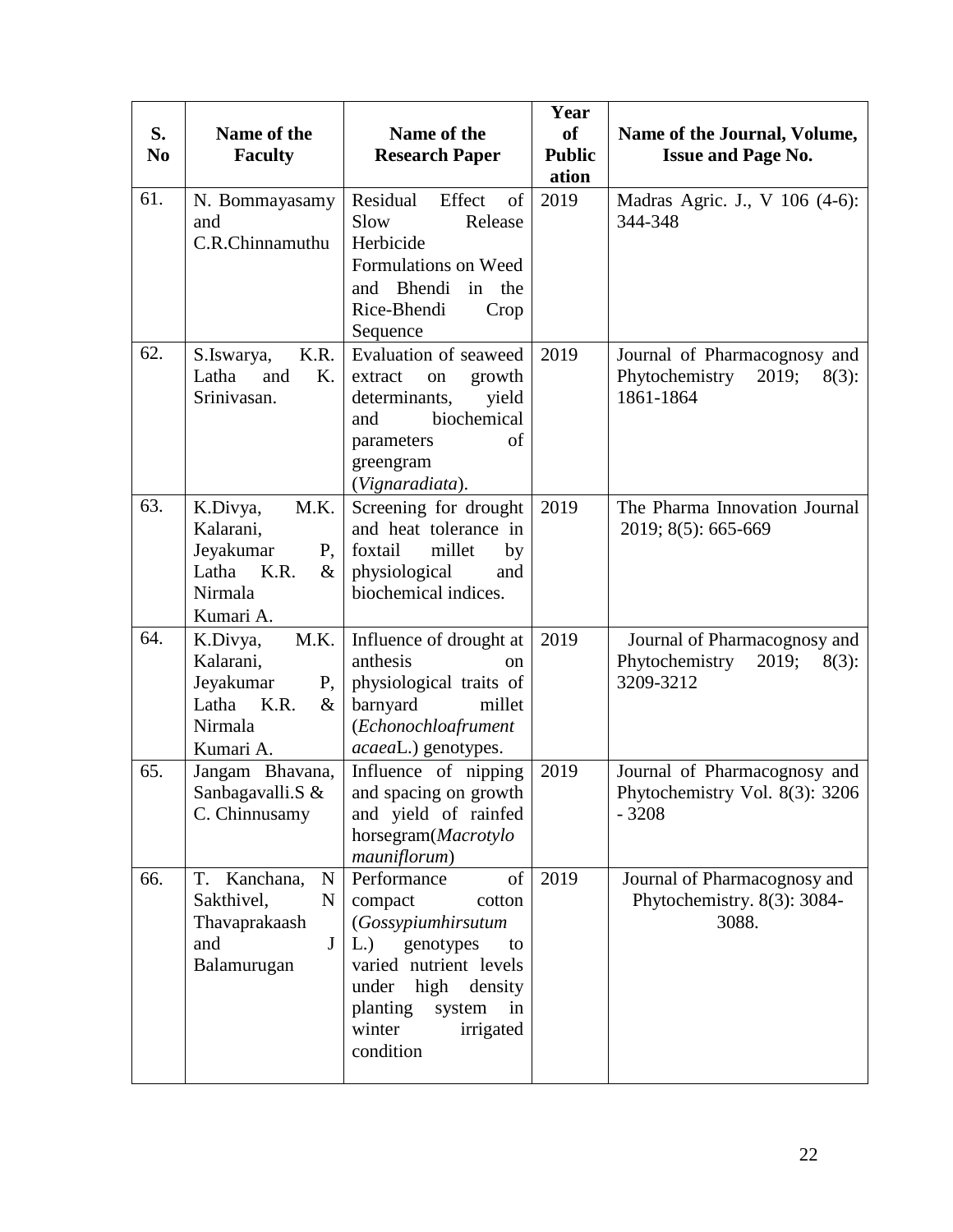| S.<br>N <sub>0</sub> | Name of the<br><b>Faculty</b>                                                                         | Name of the<br><b>Research Paper</b>                                                                                                                                                             | Year<br>of<br><b>Public</b><br>ation | Name of the Journal, Volume,<br><b>Issue and Page No.</b>                        |
|----------------------|-------------------------------------------------------------------------------------------------------|--------------------------------------------------------------------------------------------------------------------------------------------------------------------------------------------------|--------------------------------------|----------------------------------------------------------------------------------|
| 61.                  | N. Bommayasamy<br>and<br>C.R.Chinnamuthu                                                              | Residual<br>Effect<br>of<br>Slow<br>Release<br>Herbicide<br>Formulations on Weed<br>Bhendi<br>in the<br>and<br>Rice-Bhendi<br>Crop<br>Sequence                                                   | 2019                                 | Madras Agric. J., V 106 (4-6):<br>344-348                                        |
| 62.                  | K.R.<br>S.Iswarya,<br>Latha<br>and<br>K.<br>Srinivasan.                                               | Evaluation of seaweed<br>extract<br>growth<br>on<br>determinants,<br>yield<br>biochemical<br>and<br>of<br>parameters<br>greengram<br>(Vignaradiata).                                             | 2019                                 | Journal of Pharmacognosy and<br>Phytochemistry<br>2019;<br>$8(3)$ :<br>1861-1864 |
| 63.                  | M.K.<br>K.Divya,<br>Kalarani,<br>Jeyakumar<br>$P_{1}$<br>Latha K.R.<br>$\&$<br>Nirmala<br>Kumari A.   | Screening for drought<br>and heat tolerance in<br>foxtail<br>millet<br>by<br>physiological<br>and<br>biochemical indices.                                                                        | 2019                                 | The Pharma Innovation Journal<br>2019; 8(5): 665-669                             |
| 64.                  | M.K.<br>K.Divya,<br>Kalarani,<br>Jeyakumar<br>P,<br>Latha K.R.<br>$\&$<br>Nirmala<br>Kumari A.        | Influence of drought at<br>anthesis<br><sub>on</sub><br>physiological traits of<br>millet<br>barnyard<br>(Echonochloafrument<br>acaeaL.) genotypes.                                              | 2019                                 | Journal of Pharmacognosy and<br>Phytochemistry<br>2019;<br>$8(3)$ :<br>3209-3212 |
| 65.                  | Jangam Bhavana,<br>Sanbagavalli.S &<br>C. Chinnusamy                                                  | Influence of nipping<br>and spacing on growth<br>and yield of rainfed<br>horsegram(Macrotylo<br>mauniflorum)                                                                                     | 2019                                 | Journal of Pharmacognosy and<br>Phytochemistry Vol. 8(3): 3206<br>$-3208$        |
| 66.                  | T. Kanchana,<br>$\mathbf N$<br>Sakthivel,<br>N<br>Thavaprakaash<br>and<br>$\mathbf{J}$<br>Balamurugan | Performance<br>of<br>compact<br>cotton<br>(Gossypiumhirsutum<br>L.) genotypes<br>to<br>varied nutrient levels<br>under high density<br>planting system<br>in<br>winter<br>irrigated<br>condition | 2019                                 | Journal of Pharmacognosy and<br>Phytochemistry. 8(3): 3084-<br>3088.             |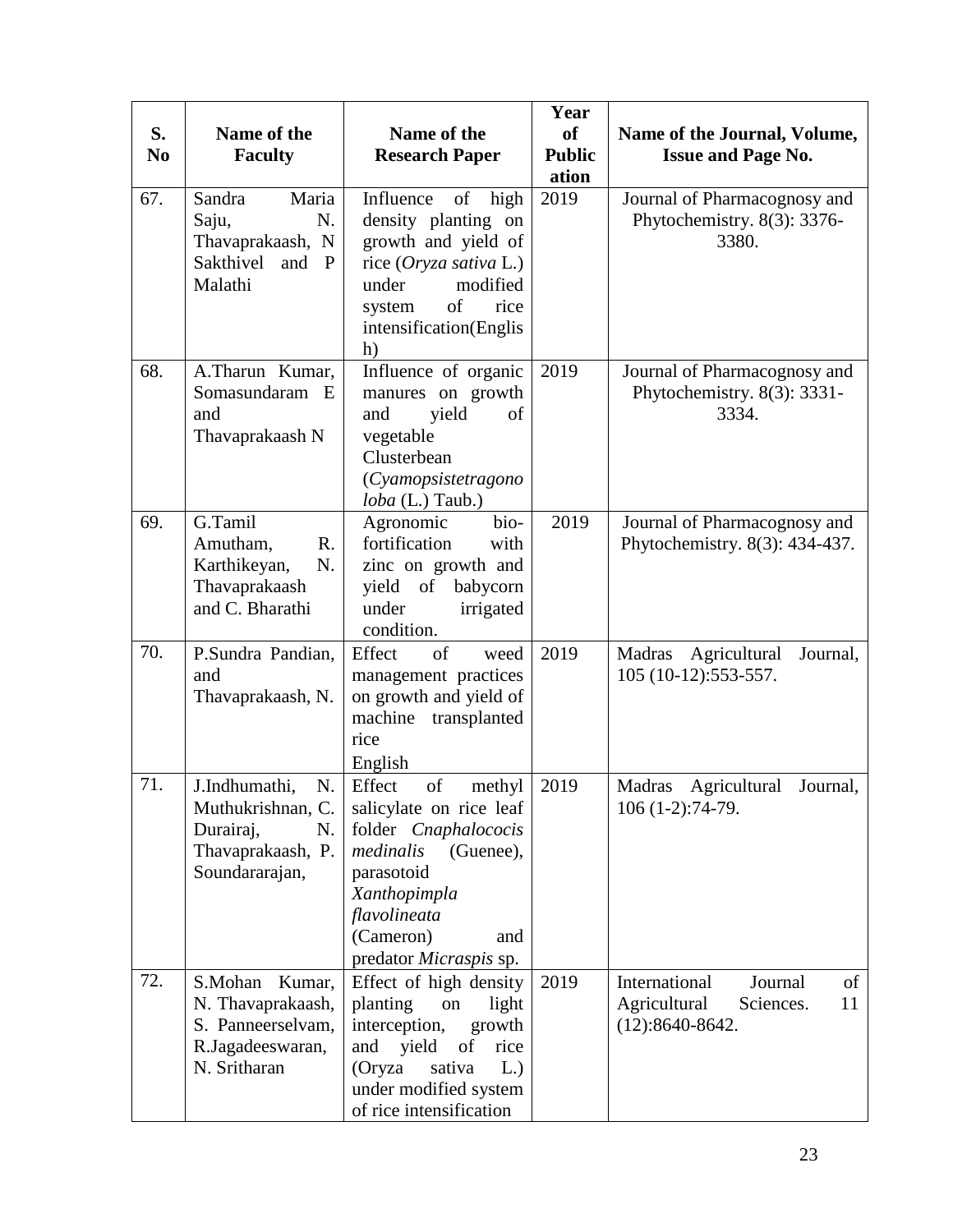| S.<br>N <sub>0</sub> | Name of the<br><b>Faculty</b>                                                                      | Name of the<br><b>Research Paper</b>                                                                                                                                                            | Year<br>of<br><b>Public</b><br>ation | Name of the Journal, Volume,<br><b>Issue and Page No.</b>                              |  |
|----------------------|----------------------------------------------------------------------------------------------------|-------------------------------------------------------------------------------------------------------------------------------------------------------------------------------------------------|--------------------------------------|----------------------------------------------------------------------------------------|--|
| 67.                  | Sandra<br>Maria<br>N.<br>Saju,<br>Thavaprakaash, N<br>Sakthivel and P<br>Malathi                   | of<br>Influence<br>high<br>density planting on<br>growth and yield of<br>rice (Oryza sativa L.)<br>modified<br>under<br>of<br>rice<br>system<br>intensification(Englis<br>h)                    | 2019                                 | Journal of Pharmacognosy and<br>Phytochemistry. 8(3): 3376-<br>3380.                   |  |
| 68.                  | A.Tharun Kumar,<br>Somasundaram E<br>and<br>Thavaprakaash N                                        | Influence of organic<br>manures on growth<br>yield<br>of<br>and<br>vegetable<br>Clusterbean<br>(Cyamopsistetragono<br>$\textit{loba}$ (L.) Taub.)                                               | 2019                                 | Journal of Pharmacognosy and<br>Phytochemistry. 8(3): 3331-<br>3334.                   |  |
| 69.                  | G.Tamil<br>Amutham,<br>R.<br>N.<br>Karthikeyan,<br>Thavaprakaash<br>and C. Bharathi                | Agronomic<br>bio-<br>fortification<br>with<br>zinc on growth and<br>yield<br>babycorn<br>of<br>under<br>irrigated<br>condition.                                                                 | 2019                                 | Journal of Pharmacognosy and<br>Phytochemistry. 8(3): 434-437.                         |  |
| 70.                  | P.Sundra Pandian,<br>and<br>Thavaprakaash, N.                                                      | of<br>Effect<br>weed<br>management practices<br>on growth and yield of<br>machine<br>transplanted<br>rice<br>English                                                                            | 2019                                 | Agricultural<br>Madras<br>Journal,<br>105 (10-12):553-557.                             |  |
| 71.                  | J.Indhumathi,<br>N.<br>Muthukrishnan, C.<br>Durairaj,<br>N.<br>Thavaprakaash, P.<br>Soundararajan, | Effect<br>of<br>methyl<br>salicylate on rice leaf<br>folder Cnaphalococis<br>medinalis<br>(Guenee),<br>parasotoid<br>Xanthopimpla<br>flavolineata<br>(Cameron)<br>and<br>predator Micraspis sp. | 2019                                 | Madras<br>Agricultural<br>Journal,<br>106 (1-2):74-79.                                 |  |
| 72.                  | S.Mohan<br>Kumar,<br>N. Thavaprakaash,<br>S. Panneerselvam,<br>R.Jagadeeswaran,<br>N. Sritharan    | Effect of high density<br>planting<br>light<br>on<br>interception,<br>growth<br>yield<br>and<br>of<br>rice<br>(Oryza<br>sativa<br>L.)<br>under modified system<br>of rice intensification       | 2019                                 | International<br>Journal<br>of<br>Agricultural<br>Sciences.<br>11<br>$(12):8640-8642.$ |  |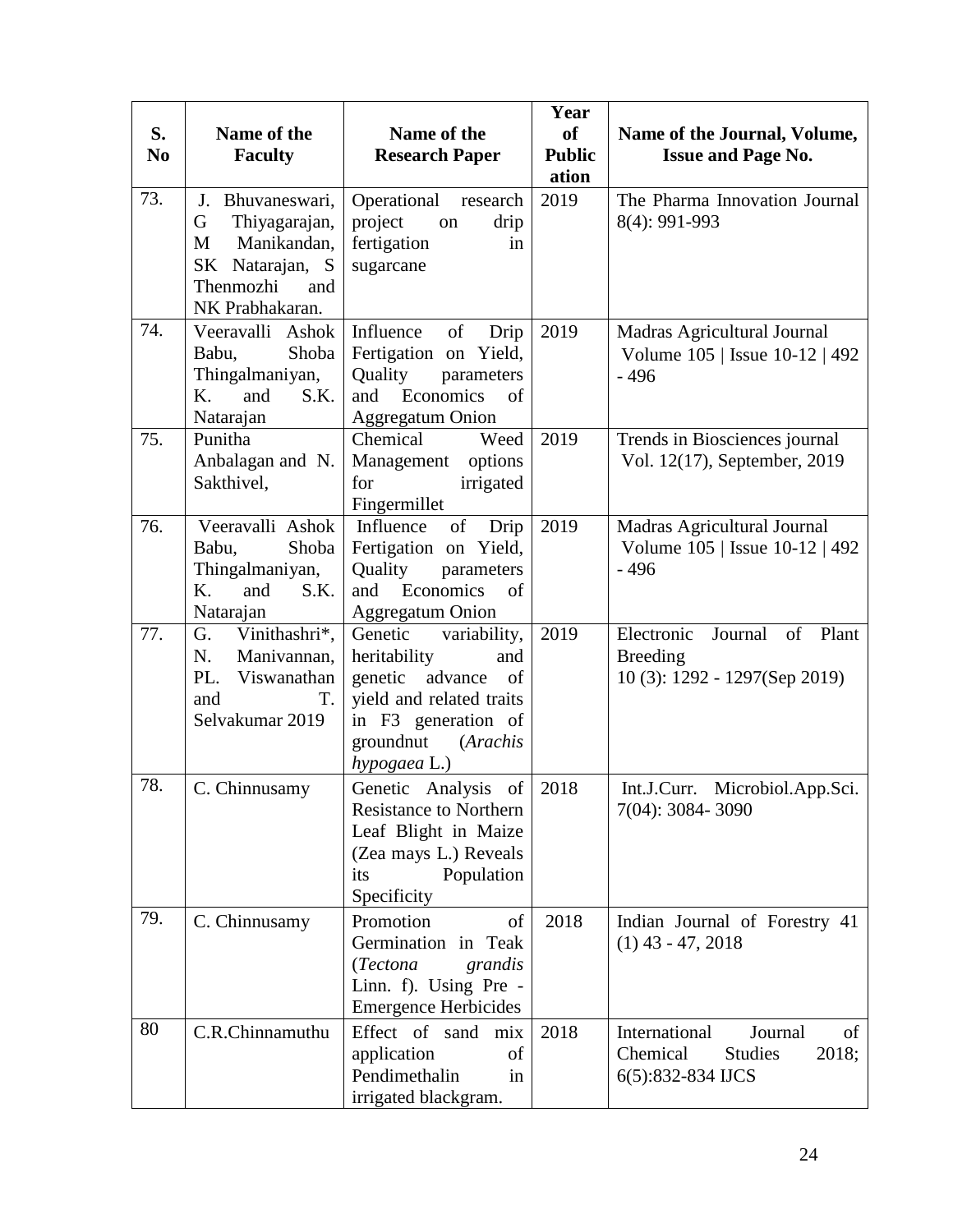| S.<br>N <sub>0</sub> | Name of the<br><b>Faculty</b>                                                                                           | Name of the<br><b>Research Paper</b>                                                                                                                                | Year<br><b>of</b><br><b>Public</b><br>ation | Name of the Journal, Volume,<br><b>Issue and Page No.</b>                                          |  |
|----------------------|-------------------------------------------------------------------------------------------------------------------------|---------------------------------------------------------------------------------------------------------------------------------------------------------------------|---------------------------------------------|----------------------------------------------------------------------------------------------------|--|
| 73.                  | J.<br>Bhuvaneswari,<br>Thiyagarajan,<br>G<br>Manikandan,<br>М<br>SK Natarajan, S<br>Thenmozhi<br>and<br>NK Prabhakaran. | Operational<br>research<br>project<br>on<br>drip<br>fertigation<br>in<br>sugarcane                                                                                  | 2019                                        | The Pharma Innovation Journal<br>8(4): 991-993                                                     |  |
| 74.                  | Veeravalli Ashok<br>Shoba<br>Babu,<br>Thingalmaniyan,<br>K.<br>S.K.<br>and<br>Natarajan                                 | Influence<br>of<br>Drip<br>Fertigation on Yield,<br>Quality<br>parameters<br>and Economics<br>of<br>Aggregatum Onion                                                | 2019                                        | Madras Agricultural Journal<br>Volume 105   Issue 10-12   492<br>$-496$                            |  |
| 75.                  | Punitha<br>Anbalagan and N.<br>Sakthivel,                                                                               | Chemical<br>Weed<br>Management options<br>for<br>irrigated<br>Fingermillet                                                                                          | 2019                                        | Trends in Biosciences journal<br>Vol. 12(17), September, 2019                                      |  |
| 76.                  | Veeravalli Ashok<br>Shoba<br>Babu,<br>Thingalmaniyan,<br>K.<br>and<br>S.K.<br>Natarajan                                 | Influence<br>$\sigma$<br>Drip<br>Fertigation on Yield,<br>Quality<br>parameters<br>Economics<br>of<br>and<br><b>Aggregatum Onion</b>                                | 2019                                        | Madras Agricultural Journal<br>Volume 105   Issue 10-12   492<br>$-496$                            |  |
| 77.                  | Vinithashri*,<br>G.<br>Manivannan,<br>N.<br>PL.<br>Viswanathan<br>and<br>T.<br>Selvakumar 2019                          | Genetic<br>variability,<br>heritability<br>and<br>genetic advance<br>of<br>yield and related traits<br>in F3 generation of<br>groundnut<br>(Arachis<br>hypogaea L.) | 2019                                        | Electronic<br>Journal<br>$\sigma f$<br>Plant<br><b>Breeding</b><br>$10(3)$ : 1292 - 1297(Sep 2019) |  |
| 78.                  | C. Chinnusamy                                                                                                           | Genetic Analysis of<br><b>Resistance to Northern</b><br>Leaf Blight in Maize<br>(Zea mays L.) Reveals<br>Population<br>its<br>Specificity                           | 2018                                        | Int.J.Curr. Microbiol.App.Sci.<br>7(04): 3084-3090                                                 |  |
| 79.                  | C. Chinnusamy                                                                                                           | Promotion<br>of<br>Germination in Teak<br>(Tectona<br>grandis<br>Linn. f). Using Pre -<br><b>Emergence Herbicides</b>                                               | 2018                                        | Indian Journal of Forestry 41<br>$(1)$ 43 - 47, 2018                                               |  |
| 80                   | C.R.Chinnamuthu                                                                                                         | Effect of sand mix<br>application<br>of<br>Pendimethalin<br>in<br>irrigated blackgram.                                                                              | 2018                                        | International<br>Journal<br>of<br>Chemical<br><b>Studies</b><br>2018;<br>6(5):832-834 IJCS         |  |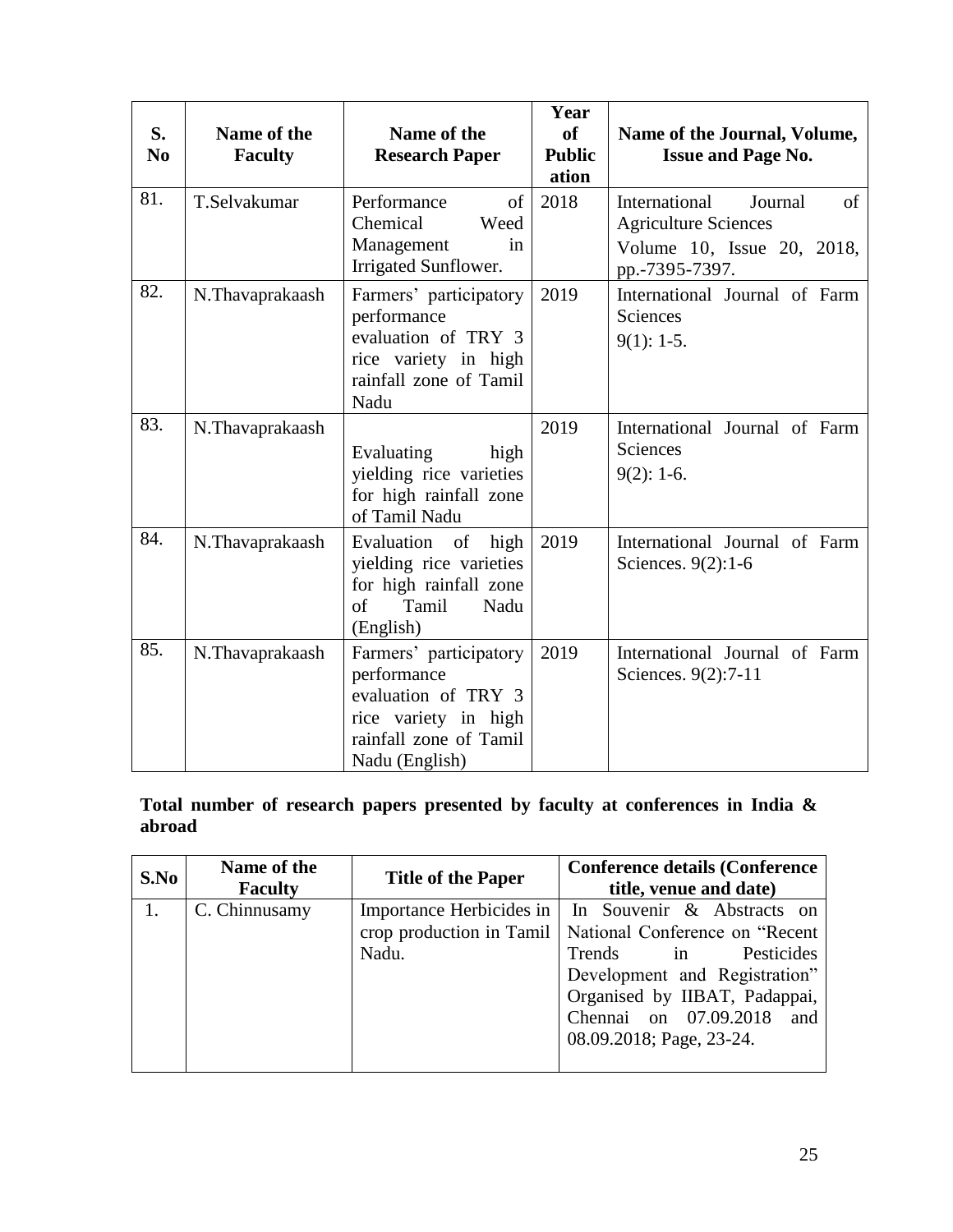| S.<br>N <sub>0</sub> | Name of the<br><b>Faculty</b> | Name of the<br><b>Research Paper</b>                                                                                             | Year<br>of<br><b>Public</b><br>ation | Name of the Journal, Volume,<br><b>Issue and Page No.</b>                                                     |  |
|----------------------|-------------------------------|----------------------------------------------------------------------------------------------------------------------------------|--------------------------------------|---------------------------------------------------------------------------------------------------------------|--|
| 81.                  | T.Selvakumar                  | Performance<br>of l<br>Chemical<br>Weed<br>Management<br>in<br>Irrigated Sunflower.                                              | 2018                                 | International<br>Journal<br>of<br><b>Agriculture Sciences</b><br>Volume 10, Issue 20, 2018,<br>pp.-7395-7397. |  |
| 82.                  | N.Thavaprakaash               | Farmers' participatory<br>performance<br>evaluation of TRY 3<br>rice variety in high<br>rainfall zone of Tamil<br>Nadu           | 2019                                 | International Journal of Farm<br><b>Sciences</b><br>$9(1): 1-5.$                                              |  |
| 83.                  | N.Thavaprakaash               | Evaluating<br>high<br>yielding rice varieties<br>for high rainfall zone<br>of Tamil Nadu                                         | 2019                                 | International Journal of Farm<br><b>Sciences</b><br>$9(2): 1-6.$                                              |  |
| 84.                  | N.Thavaprakaash               | <sub>of</sub><br>Evaluation<br>high<br>yielding rice varieties<br>for high rainfall zone<br>of<br>Tamil<br>Nadu<br>(English)     | 2019                                 | International Journal of Farm<br>Sciences. $9(2):1-6$                                                         |  |
| 85.                  | N.Thavaprakaash               | Farmers' participatory<br>performance<br>evaluation of TRY 3<br>rice variety in high<br>rainfall zone of Tamil<br>Nadu (English) | 2019                                 | International Journal of Farm<br>Sciences. 9(2):7-11                                                          |  |

**Total number of research papers presented by faculty at conferences in India & abroad** 

| S.No | Name of the<br><b>Faculty</b> | <b>Title of the Paper</b>                                     | <b>Conference details (Conference)</b><br>title, venue and date)                                                             |
|------|-------------------------------|---------------------------------------------------------------|------------------------------------------------------------------------------------------------------------------------------|
|      | C. Chinnusamy                 | Importance Herbicides in<br>crop production in Tamil<br>Nadu. | In Souvenir & Abstracts on<br>National Conference on "Recent"<br>Trends<br>Pesticides<br>in<br>Development and Registration" |
|      |                               |                                                               | Organised by IIBAT, Padappai,<br>Chennai on 07.09.2018<br>and<br>08.09.2018; Page, 23-24.                                    |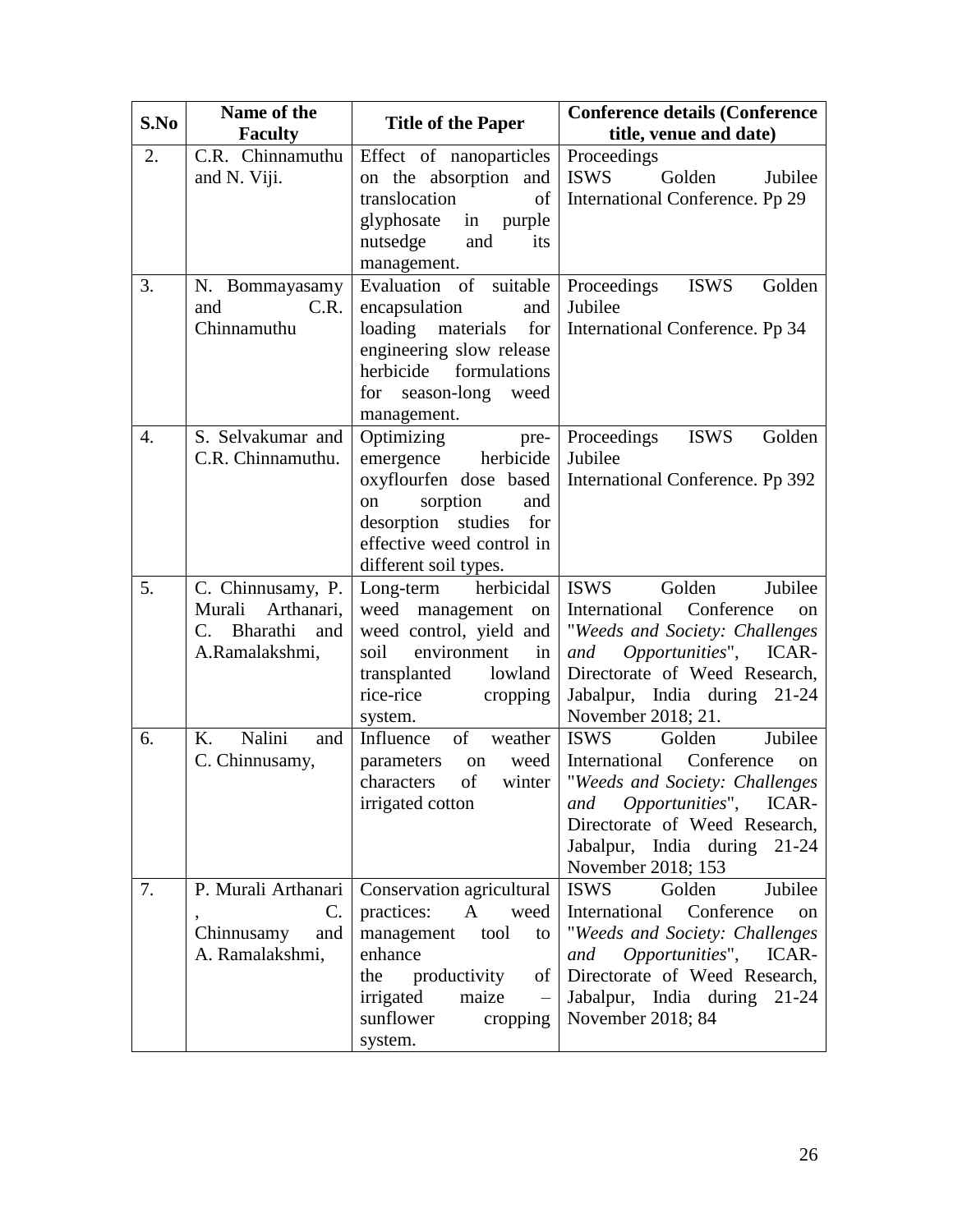| S.No | Name of the<br><b>Faculty</b>                                                  | <b>Title of the Paper</b>                                                                                                                                                                   | <b>Conference details (Conference)</b><br>title, venue and date)                                                                                                                                                                             |  |
|------|--------------------------------------------------------------------------------|---------------------------------------------------------------------------------------------------------------------------------------------------------------------------------------------|----------------------------------------------------------------------------------------------------------------------------------------------------------------------------------------------------------------------------------------------|--|
| 2.   | C.R. Chinnamuthu<br>and N. Viji.                                               | Effect of nanoparticles<br>on the absorption and<br>translocation<br>of<br>glyphosate<br>purple<br>in<br>nutsedge<br>and<br>its<br>management.                                              | Proceedings<br>Golden<br><b>ISWS</b><br>Jubilee<br>International Conference. Pp 29                                                                                                                                                           |  |
| 3.   | N. Bommayasamy<br>C.R.<br>and<br>Chinnamuthu                                   | Evaluation of suitable<br>encapsulation<br>and<br>loading materials<br>for<br>engineering slow release<br>herbicide formulations<br>for season-long weed<br>management.                     | <b>ISWS</b><br>Proceedings<br>Golden<br>Jubilee<br>International Conference. Pp 34                                                                                                                                                           |  |
| 4.   | S. Selvakumar and<br>C.R. Chinnamuthu.                                         | Optimizing<br>pre-<br>herbicide<br>emergence<br>oxyflourfen dose based<br>sorption<br>and<br>on<br>desorption studies for<br>effective weed control in<br>different soil types.             | Proceedings<br><b>ISWS</b><br>Golden<br>Jubilee<br>International Conference. Pp 392                                                                                                                                                          |  |
| 5.   | C. Chinnusamy, P.<br>Murali<br>Arthanari,<br>C. Bharathi and<br>A.Ramalakshmi, | herbicidal<br>Long-term<br>weed management on<br>weed control, yield and<br>environment<br>soil<br>in<br>transplanted<br>lowland<br>rice-rice<br>cropping<br>system.                        | Jubilee<br><b>ISWS</b><br>Golden<br>International Conference<br><sub>on</sub><br>"Weeds and Society: Challenges<br>Opportunities", ICAR-<br>and<br>Directorate of Weed Research,<br>Jabalpur, India during 21-24<br>November 2018; 21.       |  |
| 6.   | Nalini<br>K.<br>and<br>C. Chinnusamy,                                          | Influence<br>of<br>weather<br>weed<br>parameters<br>on<br>of<br>characters<br>winter<br>irrigated cotton                                                                                    | Golden<br>Jubilee<br><b>ISWS</b><br>International Conference<br>on<br>"Weeds and Society: Challenges<br><i>Opportunities"</i> , ICAR-<br>and<br>Directorate of Weed Research,<br>Jabalpur, India during 21-24<br>November 2018; 153          |  |
| 7.   | P. Murali Arthanari<br>$\mathbf{C}$ .<br>Chinnusamy<br>and<br>A. Ramalakshmi,  | Conservation agricultural<br>practices:<br>A<br>weed<br>management<br>tool<br>to<br>enhance<br>the productivity<br>of<br>irrigated<br>maize<br>$\equiv$<br>sunflower<br>cropping<br>system. | <b>ISWS</b><br>Golden<br>Jubilee<br>International Conference<br><sub>on</sub><br>"Weeds and Society: Challenges<br>Opportunities", ICAR-<br>and<br>Directorate of Weed Research,<br>Jabalpur, India during<br>$21 - 24$<br>November 2018; 84 |  |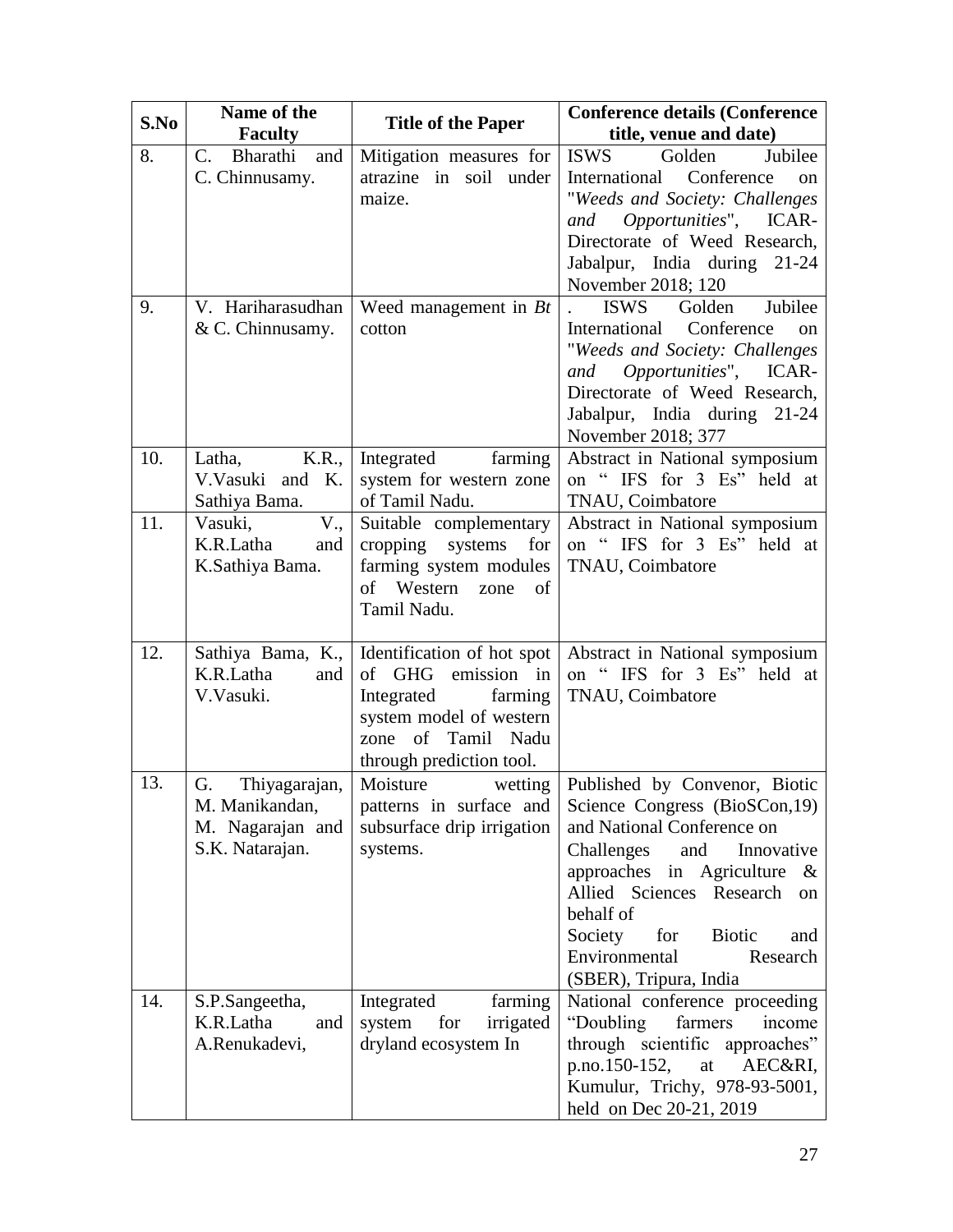| S.No | Name of the<br><b>Faculty</b> | <b>Title of the Paper</b>         | <b>Conference details (Conference</b><br>title, venue and date) |  |
|------|-------------------------------|-----------------------------------|-----------------------------------------------------------------|--|
| 8.   | Bharathi<br>and<br>C.         | Mitigation measures for           | <b>ISWS</b><br>Golden<br>Jubilee                                |  |
|      | C. Chinnusamy.                | atrazine in soil under            | Conference<br>International<br>on                               |  |
|      |                               | maize.                            | "Weeds and Society: Challenges                                  |  |
|      |                               |                                   | Opportunities", ICAR-<br>and                                    |  |
|      |                               |                                   | Directorate of Weed Research,                                   |  |
|      |                               |                                   | Jabalpur, India during 21-24                                    |  |
|      |                               |                                   | November 2018; 120                                              |  |
| 9.   | V. Hariharasudhan             | Weed management in $Bt$           | Golden<br>Jubilee<br><b>ISWS</b>                                |  |
|      | & C. Chinnusamy.              | cotton                            | International Conference<br>$_{\rm on}$                         |  |
|      |                               |                                   | "Weeds and Society: Challenges                                  |  |
|      |                               |                                   | Opportunities", ICAR-<br>and                                    |  |
|      |                               |                                   | Directorate of Weed Research,                                   |  |
|      |                               |                                   | Jabalpur, India during 21-24                                    |  |
|      |                               |                                   | November 2018; 377                                              |  |
| 10.  | K.R.,<br>Latha,               | farming<br>Integrated             | Abstract in National symposium                                  |  |
|      | V.Vasuki and K.               | system for western zone           | on "IFS for 3 Es" held at                                       |  |
|      | Sathiya Bama.                 | of Tamil Nadu.                    | TNAU, Coimbatore                                                |  |
| 11.  | Vasuki,<br>V.,                | Suitable complementary            | Abstract in National symposium                                  |  |
|      | K.R.Latha<br>and              | cropping<br>systems<br>for        | on " IFS for 3 Es" held at                                      |  |
|      | K.Sathiya Bama.               | farming system modules<br>Western | <b>TNAU</b> , Coimbatore                                        |  |
|      |                               | of<br>of<br>zone<br>Tamil Nadu.   |                                                                 |  |
|      |                               |                                   |                                                                 |  |
| 12.  | Sathiya Bama, K.,             | Identification of hot spot        | Abstract in National symposium                                  |  |
|      | K.R.Latha<br>and              | of GHG<br>emission in             | on "IFS for 3 Es" held at                                       |  |
|      | V.Vasuki.                     | Integrated<br>farming             | TNAU, Coimbatore                                                |  |
|      |                               | system model of western           |                                                                 |  |
|      |                               | zone of Tamil Nadu                |                                                                 |  |
|      |                               | through prediction tool.          |                                                                 |  |
| 13.  | G.<br>Thiyagarajan,           | Moisture<br>wetting               | Published by Convenor, Biotic                                   |  |
|      | M. Manikandan,                | patterns in surface and           | Science Congress (BioSCon, 19)                                  |  |
|      | M. Nagarajan and              | subsurface drip irrigation        | and National Conference on                                      |  |
|      | S.K. Natarajan.               | systems.                          | Innovative<br>Challenges<br>and                                 |  |
|      |                               |                                   | approaches in Agriculture &                                     |  |
|      |                               |                                   | Allied Sciences Research<br><sub>on</sub>                       |  |
|      |                               |                                   | behalf of                                                       |  |
|      |                               |                                   | Society<br>for<br><b>Biotic</b><br>and                          |  |
|      |                               |                                   | Environmental<br>Research                                       |  |
|      |                               |                                   | (SBER), Tripura, India                                          |  |
| 14.  | S.P.Sangeetha,                | Integrated<br>farming             | National conference proceeding                                  |  |
|      | K.R.Latha<br>and              | for<br>system<br>irrigated        | "Doubling<br>farmers<br>income                                  |  |
|      | A.Renukadevi,                 | dryland ecosystem In              | through scientific approaches"                                  |  |
|      |                               |                                   | p.no.150-152,<br>AEC&RI,<br>at                                  |  |
|      |                               |                                   | Kumulur, Trichy, 978-93-5001,                                   |  |
|      |                               |                                   | held on Dec 20-21, 2019                                         |  |